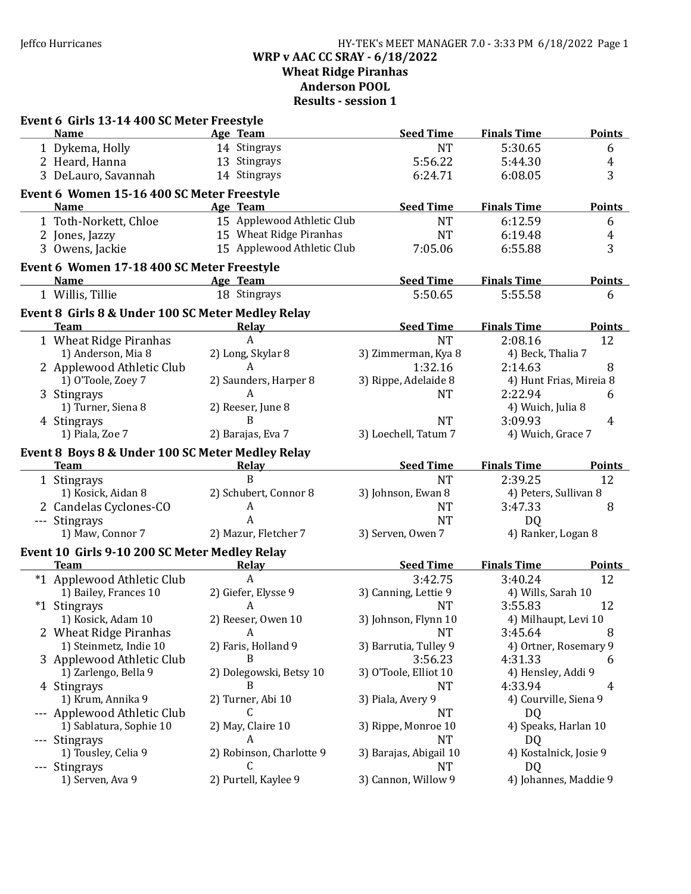### Jeffco Hurricanes HY-TEK's MEET MANAGER 7.0 - 3:33 PM 6/18/2022 Page 1 WRP v AAC CC SRAY - 6/18/2022 Wheat Ridge Piranhas Anderson POOL Results - session 1

| Event 6 Girls 13-14 400 SC Meter Freestyle        |                            |                             |                               |                |
|---------------------------------------------------|----------------------------|-----------------------------|-------------------------------|----------------|
| <b>Name</b>                                       | Age Team                   | <b>Seed Time</b>            | <b>Finals Time</b>            | <b>Points</b>  |
| 1 Dykema, Holly                                   | 14 Stingrays               | <b>NT</b>                   | 5:30.65                       | 6              |
| 2 Heard, Hanna                                    | 13 Stingrays               | 5:56.22                     | 5:44.30                       | $\overline{4}$ |
| 3 DeLauro, Savannah                               | 14 Stingrays               | 6:24.71                     | 6:08.05                       | 3              |
| Event 6 Women 15-16 400 SC Meter Freestyle        |                            |                             |                               |                |
| <b>Name</b>                                       | Age Team                   | <b>Seed Time</b>            | <b>Finals Time</b>            | <b>Points</b>  |
| 1 Toth-Norkett, Chloe                             | 15 Applewood Athletic Club | <b>NT</b>                   | 6:12.59                       | 6              |
| 2 Jones, Jazzy                                    | 15 Wheat Ridge Piranhas    | <b>NT</b>                   | 6:19.48                       | $\overline{4}$ |
| 3 Owens, Jackie                                   | 15 Applewood Athletic Club | 7:05.06                     | 6:55.88                       | 3              |
|                                                   |                            |                             |                               |                |
| Event 6 Women 17-18 400 SC Meter Freestyle        |                            |                             |                               |                |
| <b>Name</b>                                       | Age Team<br>18 Stingrays   | <b>Seed Time</b><br>5:50.65 | <b>Finals Time</b><br>5:55.58 | <b>Points</b>  |
| 1 Willis, Tillie                                  |                            |                             |                               | 6              |
| Event 8 Girls 8 & Under 100 SC Meter Medley Relay |                            |                             |                               |                |
| <b>Team</b>                                       | Relay                      | <b>Seed Time</b>            | <b>Finals Time</b>            | <b>Points</b>  |
| 1 Wheat Ridge Piranhas                            | $\boldsymbol{A}$           | <b>NT</b>                   | 2:08.16                       | 12             |
| 1) Anderson, Mia 8                                | 2) Long, Skylar 8          | 3) Zimmerman, Kya 8         | 4) Beck, Thalia 7             |                |
| 2 Applewood Athletic Club                         | A                          | 1:32.16                     | 2:14.63                       | 8              |
| 1) O'Toole, Zoey 7                                | 2) Saunders, Harper 8      | 3) Rippe, Adelaide 8        | 4) Hunt Frias, Mireia 8       |                |
| 3 Stingrays                                       | A                          | <b>NT</b>                   | 2:22.94                       | 6              |
| 1) Turner, Siena 8                                | 2) Reeser, June 8          |                             | 4) Wuich, Julia 8             |                |
| 4 Stingrays                                       | B                          | <b>NT</b>                   | 3:09.93                       | 4              |
| 1) Piala, Zoe 7                                   | 2) Barajas, Eva 7          | 3) Loechell, Tatum 7        | 4) Wuich, Grace 7             |                |
| Event 8 Boys 8 & Under 100 SC Meter Medley Relay  |                            |                             |                               |                |
| <b>Team</b>                                       | <b>Relay</b>               | <b>Seed Time</b>            | <b>Finals Time</b>            | <b>Points</b>  |
| 1 Stingrays                                       | B                          | <b>NT</b>                   | 2:39.25                       | 12             |
| 1) Kosick, Aidan 8                                | 2) Schubert, Connor 8      | 3) Johnson, Ewan 8          | 4) Peters, Sullivan 8         |                |
| 2 Candelas Cyclones-CO                            | A                          | <b>NT</b>                   | 3:47.33                       | 8              |
| --- Stingrays                                     | A                          | <b>NT</b>                   | D <sub>Q</sub>                |                |
| 1) Maw, Connor 7                                  | 2) Mazur, Fletcher 7       | 3) Serven, Owen 7           | 4) Ranker, Logan 8            |                |
| Event 10 Girls 9-10 200 SC Meter Medley Relay     |                            |                             |                               |                |
| <b>Team</b>                                       | <b>Relay</b>               | <b>Seed Time</b>            | <b>Finals Time</b>            | <b>Points</b>  |
| *1 Applewood Athletic Club                        | $\overline{A}$             | 3:42.75                     | 3:40.24                       | 12             |
| 1) Bailey, Frances 10                             | 2) Giefer, Elysse 9        | 3) Canning, Lettie 9        | 4) Wills, Sarah 10            |                |
| *1 Stingrays                                      | A                          | <b>NT</b>                   | 3:55.83                       | 12             |
| 1) Kosick, Adam 10                                | 2) Reeser, Owen 10         | 3) Johnson, Flynn 10        | 4) Milhaupt, Levi 10          |                |
| 2 Wheat Ridge Piranhas                            | A                          | <b>NT</b>                   | 3:45.64                       | 8              |
| 1) Steinmetz, Indie 10                            | 2) Faris, Holland 9        | 3) Barrutia, Tulley 9       | 4) Ortner, Rosemary 9         |                |
| 3 Applewood Athletic Club                         | B                          | 3:56.23                     | 4:31.33                       | 6              |
| 1) Zarlengo, Bella 9                              | 2) Dolegowski, Betsy 10    | 3) O'Toole, Elliot 10       | 4) Hensley, Addi 9            |                |
| 4 Stingrays                                       |                            | <b>NT</b>                   | 4:33.94                       | 4              |
| 1) Krum, Annika 9                                 | 2) Turner, Abi 10          | 3) Piala, Avery 9           | 4) Courville, Siena 9         |                |
| --- Applewood Athletic Club                       | C                          | <b>NT</b>                   | DQ                            |                |
| 1) Sablatura, Sophie 10                           | 2) May, Claire 10          | 3) Rippe, Monroe 10         | 4) Speaks, Harlan 10          |                |
| --- Stingrays                                     | A                          | <b>NT</b>                   | DQ                            |                |
| 1) Tousley, Celia 9                               | 2) Robinson, Charlotte 9   | 3) Barajas, Abigail 10      | 4) Kostalnick, Josie 9        |                |
| --- Stingrays                                     |                            | <b>NT</b>                   | DQ                            |                |
| 1) Serven, Ava 9                                  | 2) Purtell, Kaylee 9       | 3) Cannon, Willow 9         | 4) Johannes, Maddie 9         |                |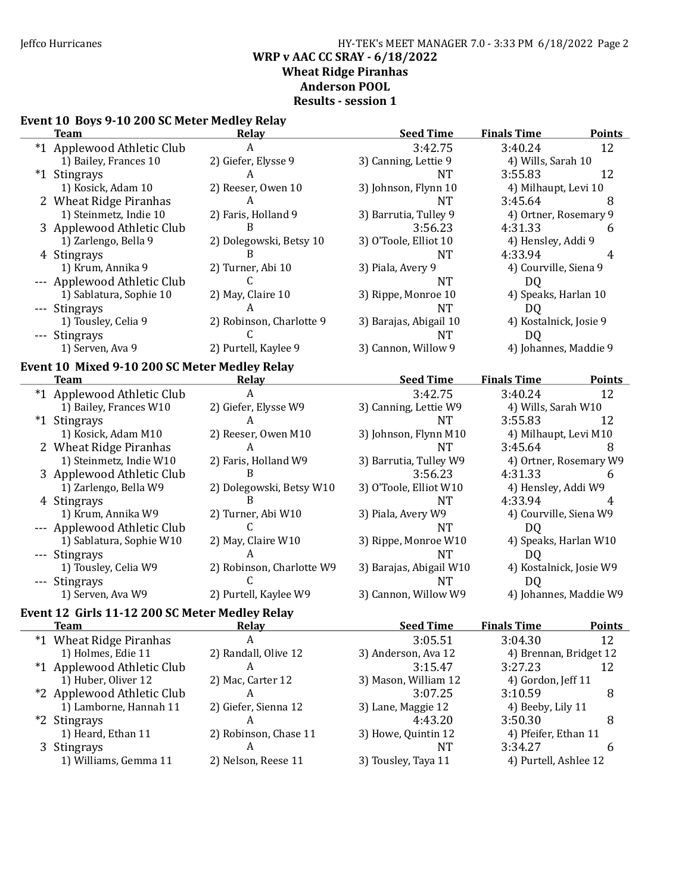### Jeffco Hurricanes HY-TEK's MEET MANAGER 7.0 - 3:33 PM 6/18/2022 Page 2 WRP v AAC CC SRAY - 6/18/2022 Wheat Ridge Piranhas Anderson POOL Results - session 1

# Event 10 Boys 9-10 200 SC Meter Medley Relay

| <b>Team</b>                                    | <b>Relay</b>              | <b>Seed Time</b>        | <b>Finals Time</b>          | <b>Points</b> |
|------------------------------------------------|---------------------------|-------------------------|-----------------------------|---------------|
| *1 Applewood Athletic Club                     | A                         | 3:42.75                 | 3:40.24                     | 12            |
| 1) Bailey, Frances 10                          | 2) Giefer, Elysse 9       | 3) Canning, Lettie 9    | 4) Wills, Sarah 10          |               |
| *1 Stingrays                                   | A                         | <b>NT</b>               | 3:55.83                     | 12            |
| 1) Kosick, Adam 10                             | 2) Reeser, Owen 10        | 3) Johnson, Flynn 10    | 4) Milhaupt, Levi 10        |               |
| 2 Wheat Ridge Piranhas                         | A                         | <b>NT</b>               | 3:45.64                     | 8             |
| 1) Steinmetz, Indie 10                         | 2) Faris, Holland 9       | 3) Barrutia, Tulley 9   | 4) Ortner, Rosemary 9       |               |
| 3 Applewood Athletic Club                      | B                         | 3:56.23                 | 4:31.33                     | 6             |
| 1) Zarlengo, Bella 9                           | 2) Dolegowski, Betsy 10   | 3) O'Toole, Elliot 10   | 4) Hensley, Addi 9          |               |
| 4 Stingrays                                    | B                         | <b>NT</b>               | 4:33.94                     | 4             |
| 1) Krum, Annika 9                              | 2) Turner, Abi 10         | 3) Piala, Avery 9       | 4) Courville, Siena 9       |               |
| --- Applewood Athletic Club                    | C                         | <b>NT</b>               | DQ                          |               |
| 1) Sablatura, Sophie 10                        | 2) May, Claire 10         | 3) Rippe, Monroe 10     | 4) Speaks, Harlan 10        |               |
| --- Stingrays                                  | A                         | <b>NT</b>               | DQ                          |               |
| 1) Tousley, Celia 9                            | 2) Robinson, Charlotte 9  | 3) Barajas, Abigail 10  | 4) Kostalnick, Josie 9      |               |
|                                                | C                         | <b>NT</b>               |                             |               |
| --- Stingrays<br>1) Serven, Ava 9              | 2) Purtell, Kaylee 9      | 3) Cannon, Willow 9     | DQ<br>4) Johannes, Maddie 9 |               |
|                                                |                           |                         |                             |               |
| Event 10 Mixed 9-10 200 SC Meter Medley Relay  |                           |                         |                             |               |
| <b>Team</b>                                    | Relay                     | <b>Seed Time</b>        | <b>Finals Time</b>          | <b>Points</b> |
| *1 Applewood Athletic Club                     | A                         | 3:42.75                 | 3:40.24                     | 12            |
| 1) Bailey, Frances W10                         | 2) Giefer, Elysse W9      | 3) Canning, Lettie W9   | 4) Wills, Sarah W10         |               |
| *1 Stingrays                                   | A                         | <b>NT</b>               | 3:55.83                     | 12            |
| 1) Kosick, Adam M10                            | 2) Reeser, Owen M10       | 3) Johnson, Flynn M10   | 4) Milhaupt, Levi M10       |               |
| 2 Wheat Ridge Piranhas                         | A                         | <b>NT</b>               | 3:45.64                     | 8             |
| 1) Steinmetz, Indie W10                        | 2) Faris, Holland W9      | 3) Barrutia, Tulley W9  | 4) Ortner, Rosemary W9      |               |
| 3 Applewood Athletic Club                      | B                         | 3:56.23                 | 4:31.33                     | 6             |
| 1) Zarlengo, Bella W9                          | 2) Dolegowski, Betsy W10  | 3) O'Toole, Elliot W10  | 4) Hensley, Addi W9         |               |
| 4 Stingrays                                    | B                         | <b>NT</b>               | 4:33.94                     | 4             |
| 1) Krum, Annika W9                             | 2) Turner, Abi W10        | 3) Piala, Avery W9      | 4) Courville, Siena W9      |               |
| --- Applewood Athletic Club                    | C.                        | <b>NT</b>               | DQ                          |               |
| 1) Sablatura, Sophie W10                       | 2) May, Claire W10        | 3) Rippe, Monroe W10    | 4) Speaks, Harlan W10       |               |
| --- Stingrays                                  | A                         | <b>NT</b>               | D <sub>Q</sub>              |               |
| 1) Tousley, Celia W9                           | 2) Robinson, Charlotte W9 | 3) Barajas, Abigail W10 | 4) Kostalnick, Josie W9     |               |
| --- Stingrays                                  | C                         | <b>NT</b>               | D <sub>Q</sub>              |               |
| 1) Serven, Ava W9                              | 2) Purtell, Kaylee W9     | 3) Cannon, Willow W9    | 4) Johannes, Maddie W9      |               |
| Event 12 Girls 11-12 200 SC Meter Medley Relay |                           |                         |                             |               |
| <b>Team</b>                                    | <b>Relay</b>              | <b>Seed Time</b>        | <b>Finals Time</b>          | <b>Points</b> |
| *1 Wheat Ridge Piranhas                        | A                         | 3:05.51                 | 3:04.30                     | 12            |
| 1) Holmes, Edie 11                             | 2) Randall, Olive 12      | 3) Anderson, Ava 12     | 4) Brennan, Bridget 12      |               |
| *1 Applewood Athletic Club                     | A                         | 3:15.47                 | 3:27.23                     | 12            |
| 1) Huber, Oliver 12                            | 2) Mac, Carter 12         | 3) Mason, William 12    | 4) Gordon, Jeff 11          |               |
| *2 Applewood Athletic Club                     | A                         | 3:07.25                 | 3:10.59                     | 8             |
| 1) Lamborne, Hannah 11                         | 2) Giefer, Sienna 12      | 3) Lane, Maggie 12      | 4) Beeby, Lily 11           |               |
| *2 Stingrays                                   | A                         | 4:43.20                 | 3:50.30                     |               |
| 1) Heard, Ethan 11                             | 2) Robinson, Chase 11     | 3) Howe, Quintin 12     | 4) Pfeifer, Ethan 11        | 8             |
|                                                | A                         |                         | 3:34.27                     |               |
| 3 Stingrays                                    |                           | NT                      |                             | 6             |
| 1) Williams, Gemma 11                          | 2) Nelson, Reese 11       | 3) Tousley, Taya 11     | 4) Purtell, Ashlee 12       |               |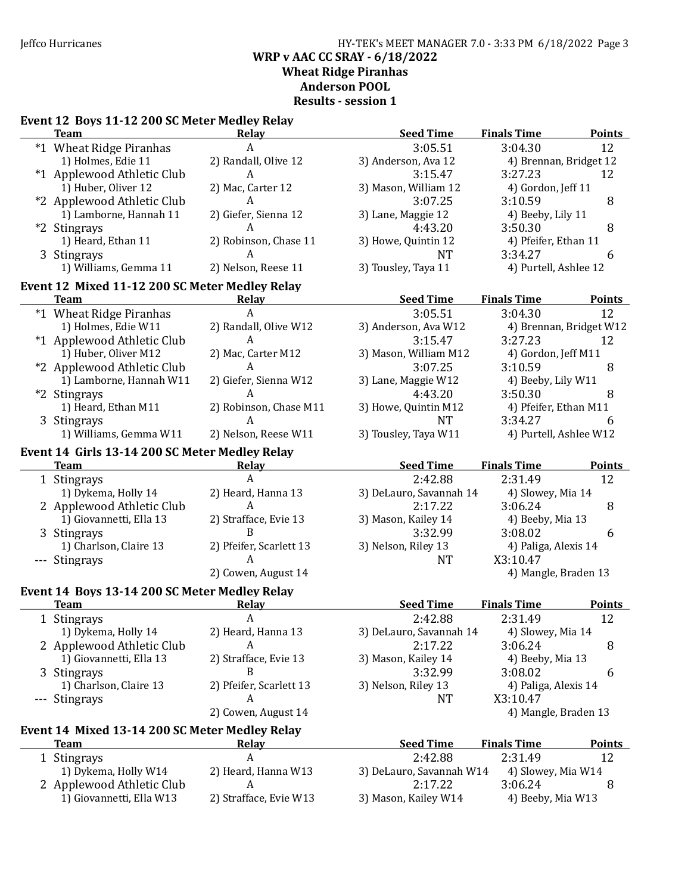### Jeffco Hurricanes HY-TEK's MEET MANAGER 7.0 - 3:33 PM 6/18/2022 Page 3 WRP v AAC CC SRAY - 6/18/2022 Wheat Ridge Piranhas Anderson POOL Results - session 1

# Event 12 Boys 11-12 200 SC Meter Medley Relay

| <b>Team</b>                                    | <b>Relay</b>            | <b>Seed Time</b>                          | <b>Finals Time</b>     | <b>Points</b>           |
|------------------------------------------------|-------------------------|-------------------------------------------|------------------------|-------------------------|
| *1 Wheat Ridge Piranhas                        | $\overline{A}$          | 3:05.51                                   | 3:04.30                | 12                      |
| 1) Holmes, Edie 11                             | 2) Randall, Olive 12    | 3) Anderson, Ava 12                       | 4) Brennan, Bridget 12 |                         |
| *1 Applewood Athletic Club                     | $\mathsf{A}$            | 3:15.47                                   | 3:27.23                | 12                      |
| 1) Huber, Oliver 12                            | 2) Mac, Carter 12       | 3) Mason, William 12                      | 4) Gordon, Jeff 11     |                         |
| *2 Applewood Athletic Club                     | $\mathsf{A}$            | 3:07.25                                   | 3:10.59                | 8                       |
| 1) Lamborne, Hannah 11                         | 2) Giefer, Sienna 12    | 3) Lane, Maggie 12                        | 4) Beeby, Lily 11      |                         |
| *2 Stingrays                                   | A                       | 4:43.20                                   | 3:50.30                | 8                       |
| 1) Heard, Ethan 11                             | 2) Robinson, Chase 11   | 3) Howe, Quintin 12                       | 4) Pfeifer, Ethan 11   |                         |
| 3 Stingrays                                    | A                       | <b>NT</b>                                 | 3:34.27                | 6                       |
| 1) Williams, Gemma 11                          | 2) Nelson, Reese 11     | 3) Tousley, Taya 11                       | 4) Purtell, Ashlee 12  |                         |
| Event 12 Mixed 11-12 200 SC Meter Medley Relay |                         |                                           |                        |                         |
| <b>Team</b>                                    | <b>Relay</b>            | <b>Seed Time</b>                          | <b>Finals Time</b>     | <b>Points</b>           |
| *1 Wheat Ridge Piranhas                        | A                       | 3:05.51                                   | 3:04.30                | 12                      |
| 1) Holmes, Edie W11                            | 2) Randall, Olive W12   | 3) Anderson, Ava W12                      |                        | 4) Brennan, Bridget W12 |
| *1 Applewood Athletic Club                     | A                       | 3:15.47                                   | 3:27.23                | 12                      |
| 1) Huber, Oliver M12                           | 2) Mac, Carter M12      | 3) Mason, William M12                     | 4) Gordon, Jeff M11    |                         |
| *2 Applewood Athletic Club                     | A                       | 3:07.25                                   | 3:10.59                | 8                       |
| 1) Lamborne, Hannah W11                        | 2) Giefer, Sienna W12   | 3) Lane, Maggie W12                       | 4) Beeby, Lily W11     |                         |
| *2 Stingrays                                   | A                       | 4:43.20                                   | 3:50.30                | 8                       |
| 1) Heard, Ethan M11                            | 2) Robinson, Chase M11  | 3) Howe, Quintin M12                      | 4) Pfeifer, Ethan M11  |                         |
| 3 Stingrays                                    | A                       | <b>NT</b>                                 | 3:34.27                | 6                       |
| 1) Williams, Gemma W11                         | 2) Nelson, Reese W11    | 3) Tousley, Taya W11                      | 4) Purtell, Ashlee W12 |                         |
| Event 14 Girls 13-14 200 SC Meter Medley Relay |                         |                                           |                        |                         |
| <b>Team</b>                                    | Relay                   | <b>Seed Time</b>                          | <b>Finals Time</b>     | <b>Points</b>           |
| 1 Stingrays                                    | $\overline{A}$          | 2:42.88                                   | 2:31.49                | 12                      |
| 1) Dykema, Holly 14                            | 2) Heard, Hanna 13      | 3) DeLauro, Savannah 14                   | 4) Slowey, Mia 14      |                         |
| 2 Applewood Athletic Club                      | $\overline{A}$          | 2:17.22                                   | 3:06.24                | 8                       |
| 1) Giovannetti, Ella 13                        | 2) Strafface, Evie 13   | 3) Mason, Kailey 14                       | 4) Beeby, Mia 13       |                         |
| 3 Stingrays                                    | B                       | 3:32.99                                   | 3:08.02                | 6                       |
| 1) Charlson, Claire 13                         | 2) Pfeifer, Scarlett 13 | 3) Nelson, Riley 13                       | 4) Paliga, Alexis 14   |                         |
| --- Stingrays                                  | A                       | <b>NT</b>                                 | X3:10.47               |                         |
|                                                | 2) Cowen, August 14     |                                           | 4) Mangle, Braden 13   |                         |
| Event 14 Boys 13-14 200 SC Meter Medley Relay  |                         |                                           |                        |                         |
| <b>Team</b>                                    | <b>Relay</b>            | <b>Seed Time</b>                          | <b>Finals Time</b>     | <b>Points</b>           |
| 1 Stingrays                                    | $\boldsymbol{A}$        | 2:42.88                                   | 2:31.49                | 12                      |
| 1) Dykema, Holly 14                            | 2) Heard, Hanna 13      | 3) DeLauro, Savannah 14 4) Slowey, Mia 14 |                        |                         |
| 2 Applewood Athletic Club                      | A                       | 2:17.22                                   | 3:06.24                | 8                       |
| 1) Giovannetti, Ella 13                        | 2) Strafface, Evie 13   | 3) Mason, Kailey 14                       | 4) Beeby, Mia 13       |                         |
| 3 Stingrays                                    | B                       | 3:32.99                                   | 3:08.02                | 6                       |
| 1) Charlson, Claire 13                         | 2) Pfeifer, Scarlett 13 | 3) Nelson, Riley 13                       | 4) Paliga, Alexis 14   |                         |
| --- Stingrays                                  | A                       | <b>NT</b>                                 | X3:10.47               |                         |
|                                                | 2) Cowen, August 14     |                                           | 4) Mangle, Braden 13   |                         |
| Event 14 Mixed 13-14 200 SC Meter Medley Relay |                         |                                           |                        |                         |
| <b>Team</b>                                    | <b>Relay</b>            | <b>Seed Time</b>                          | <b>Finals Time</b>     | <b>Points</b>           |
| 1 Stingrays                                    | $\boldsymbol{A}$        | 2:42.88                                   | 2:31.49                | 12                      |
| 1) Dykema, Holly W14                           | 2) Heard, Hanna W13     | 3) DeLauro, Savannah W14                  | 4) Slowey, Mia W14     |                         |
| 2 Applewood Athletic Club                      | A                       | 2:17.22                                   | 3:06.24                | 8                       |
| 1) Giovannetti, Ella W13                       | 2) Strafface, Evie W13  | 3) Mason, Kailey W14                      | 4) Beeby, Mia W13      |                         |
|                                                |                         |                                           |                        |                         |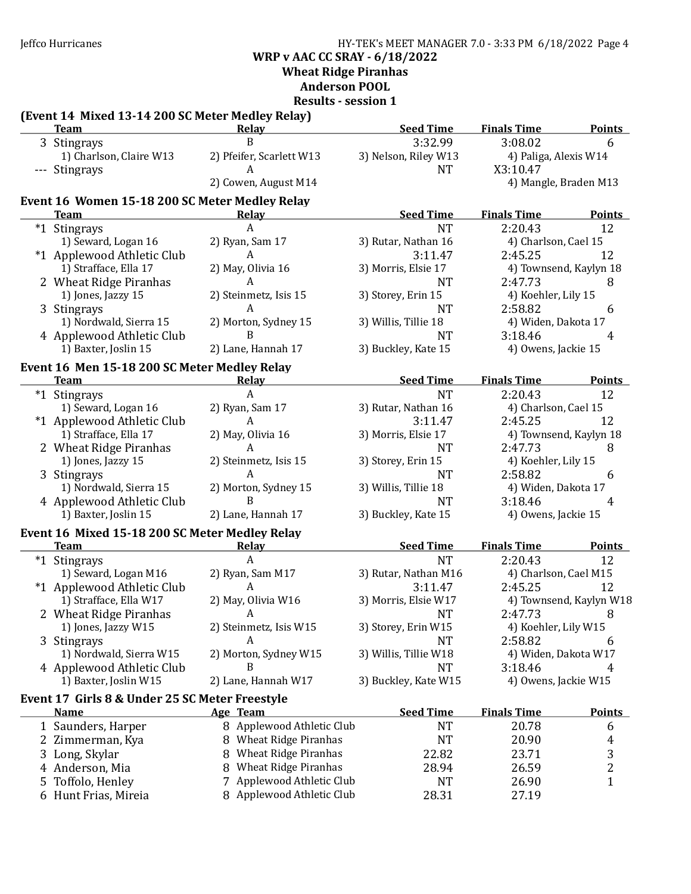Jeffco Hurricanes HY-TEK's MEET MANAGER 7.0 - 3:33 PM 6/18/2022 Page 4 WRP v AAC CC SRAY - 6/18/2022

Wheat Ridge Piranhas

# Anderson POOL

Results - session 1

# (Event 14 Mixed 13-14 200 SC Meter Medley Relay)

|   | <b>Team</b>                                    | <b>Relay</b>              | <b>Seed Time</b>      | <b>Finals Time</b>    | <b>Points</b>           |
|---|------------------------------------------------|---------------------------|-----------------------|-----------------------|-------------------------|
|   | 3 Stingrays                                    | B                         | 3:32.99               | 3:08.02               | 6                       |
|   | 1) Charlson, Claire W13                        | 2) Pfeifer, Scarlett W13  | 3) Nelson, Riley W13  | 4) Paliga, Alexis W14 |                         |
|   | --- Stingrays                                  | $\overline{A}$            | <b>NT</b>             | X3:10.47              |                         |
|   |                                                | 2) Cowen, August M14      |                       | 4) Mangle, Braden M13 |                         |
|   | Event 16 Women 15-18 200 SC Meter Medley Relay |                           |                       |                       |                         |
|   | <b>Team</b>                                    | <b>Relay</b>              | <b>Seed Time</b>      | <b>Finals Time</b>    | <b>Points</b>           |
|   | *1 Stingrays                                   | $\boldsymbol{A}$          | <b>NT</b>             | 2:20.43               | 12                      |
|   | 1) Seward, Logan 16                            | 2) Ryan, Sam 17           | 3) Rutar, Nathan 16   | 4) Charlson, Cael 15  |                         |
|   | *1 Applewood Athletic Club                     | $\mathbf{A}$              | 3:11.47               | 2:45.25               | 12                      |
|   | 1) Strafface, Ella 17                          | 2) May, Olivia 16         | 3) Morris, Elsie 17   |                       | 4) Townsend, Kaylyn 18  |
|   | 2 Wheat Ridge Piranhas                         | A                         | <b>NT</b>             | 2:47.73               | 8                       |
|   | 1) Jones, Jazzy 15                             | 2) Steinmetz, Isis 15     | 3) Storey, Erin 15    | 4) Koehler, Lily 15   |                         |
|   | 3 Stingrays                                    | A                         | <b>NT</b>             | 2:58.82               | 6                       |
|   | 1) Nordwald, Sierra 15                         | 2) Morton, Sydney 15      | 3) Willis, Tillie 18  | 4) Widen, Dakota 17   |                         |
|   | 4 Applewood Athletic Club                      | B                         | <b>NT</b>             | 3:18.46               | 4                       |
|   | 1) Baxter, Joslin 15                           | 2) Lane, Hannah 17        | 3) Buckley, Kate 15   | 4) Owens, Jackie 15   |                         |
|   |                                                |                           |                       |                       |                         |
|   | Event 16 Men 15-18 200 SC Meter Medley Relay   |                           |                       |                       |                         |
|   | <b>Team</b>                                    | <b>Relay</b>              | <b>Seed Time</b>      | <b>Finals Time</b>    | <b>Points</b>           |
|   | *1 Stingrays                                   | A                         | <b>NT</b>             | 2:20.43               | 12                      |
|   | 1) Seward, Logan 16                            | 2) Ryan, Sam 17           | 3) Rutar, Nathan 16   | 4) Charlson, Cael 15  |                         |
|   | *1 Applewood Athletic Club                     | $\boldsymbol{A}$          | 3:11.47               | 2:45.25               | 12                      |
|   | 1) Strafface, Ella 17                          | 2) May, Olivia 16         | 3) Morris, Elsie 17   |                       | 4) Townsend, Kaylyn 18  |
|   | 2 Wheat Ridge Piranhas                         | $\mathbf{A}$              | <b>NT</b>             | 2:47.73               | 8                       |
|   | 1) Jones, Jazzy 15                             | 2) Steinmetz, Isis 15     | 3) Storey, Erin 15    | 4) Koehler, Lily 15   |                         |
|   | 3 Stingrays                                    | A                         | <b>NT</b>             | 2:58.82               | 6                       |
|   | 1) Nordwald, Sierra 15                         | 2) Morton, Sydney 15      | 3) Willis, Tillie 18  | 4) Widen, Dakota 17   |                         |
|   | 4 Applewood Athletic Club                      | B                         | <b>NT</b>             | 3:18.46               | 4                       |
|   | 1) Baxter, Joslin 15                           | 2) Lane, Hannah 17        | 3) Buckley, Kate 15   | 4) Owens, Jackie 15   |                         |
|   | Event 16 Mixed 15-18 200 SC Meter Medley Relay |                           |                       |                       |                         |
|   | <b>Team</b>                                    | <b>Relay</b>              | <b>Seed Time</b>      | <b>Finals Time</b>    | <b>Points</b>           |
|   | *1 Stingrays                                   | $\mathbf{A}$              | <b>NT</b>             | 2:20.43               | 12                      |
|   | 1) Seward, Logan M16                           | 2) Ryan, Sam M17          | 3) Rutar, Nathan M16  | 4) Charlson, Cael M15 |                         |
|   | *1 Applewood Athletic Club                     | $\mathbf{A}$              | 3:11.47               | 2:45.25               | 12                      |
|   | 1) Strafface, Ella W17                         | 2) May, Olivia W16        | 3) Morris, Elsie W17  |                       | 4) Townsend, Kaylyn W18 |
|   | 2 Wheat Ridge Piranhas                         | A                         | <b>NT</b>             | 2:47.73               | 8                       |
|   | 1) Jones, Jazzy W15                            | 2) Steinmetz, Isis W15    | 3) Storey, Erin W15   | 4) Koehler, Lily W15  |                         |
|   | 3 Stingrays                                    | A                         | <b>NT</b>             | 2:58.82               | 6                       |
|   | 1) Nordwald, Sierra W15                        | 2) Morton, Sydney W15     | 3) Willis, Tillie W18 | 4) Widen, Dakota W17  |                         |
|   | 4 Applewood Athletic Club                      | B                         | <b>NT</b>             | 3:18.46               | 4                       |
|   | 1) Baxter, Joslin W15                          | 2) Lane, Hannah W17       | 3) Buckley, Kate W15  | 4) Owens, Jackie W15  |                         |
|   | Event 17 Girls 8 & Under 25 SC Meter Freestyle |                           |                       |                       |                         |
|   | Name                                           | Age Team                  | <b>Seed Time</b>      | <b>Finals Time</b>    | <b>Points</b>           |
|   | 1 Saunders, Harper                             | 8 Applewood Athletic Club | <b>NT</b>             | 20.78                 | 6                       |
|   | 2 Zimmerman, Kya                               | 8 Wheat Ridge Piranhas    | <b>NT</b>             | 20.90                 | 4                       |
|   | 3 Long, Skylar                                 | 8 Wheat Ridge Piranhas    | 22.82                 | 23.71                 | 3                       |
|   | 4 Anderson, Mia                                | 8 Wheat Ridge Piranhas    | 28.94                 | 26.59                 | $\overline{c}$          |
| 5 | Toffolo, Henley                                | 7 Applewood Athletic Club | <b>NT</b>             | 26.90                 | 1                       |
|   | 6 Hunt Frias, Mireia                           | 8 Applewood Athletic Club | 28.31                 | 27.19                 |                         |
|   |                                                |                           |                       |                       |                         |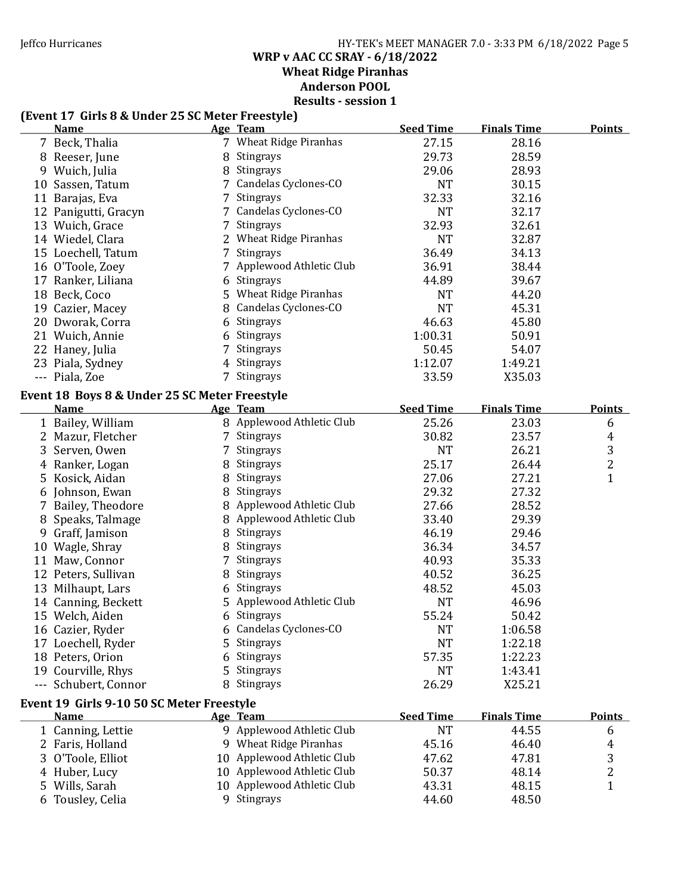### Jeffco Hurricanes HY-TEK's MEET MANAGER 7.0 - 3:33 PM 6/18/2022 Page 5 WRP v AAC CC SRAY - 6/18/2022 Wheat Ridge Piranhas Anderson POOL

Results - session 1

# (Event 17 Girls 8 & Under 25 SC Meter Freestyle)

| <b>Name</b>                                   |   | Age Team                   | <b>Seed Time</b> | <b>Finals Time</b> | <b>Points</b>  |
|-----------------------------------------------|---|----------------------------|------------------|--------------------|----------------|
| 7 Beck, Thalia                                |   | 7 Wheat Ridge Piranhas     | 27.15            | 28.16              |                |
| 8 Reeser, June                                |   | 8 Stingrays                | 29.73            | 28.59              |                |
| 9 Wuich, Julia                                |   | 8 Stingrays                | 29.06            | 28.93              |                |
| 10 Sassen, Tatum                              |   | 7 Candelas Cyclones-CO     | <b>NT</b>        | 30.15              |                |
| 11 Barajas, Eva                               | 7 | Stingrays                  | 32.33            | 32.16              |                |
| 12 Panigutti, Gracyn                          |   | Candelas Cyclones-CO       | <b>NT</b>        | 32.17              |                |
| 13 Wuich, Grace                               | 7 | Stingrays                  | 32.93            | 32.61              |                |
| 14 Wiedel, Clara                              |   | 2 Wheat Ridge Piranhas     | <b>NT</b>        | 32.87              |                |
| 15 Loechell, Tatum                            |   | 7 Stingrays                | 36.49            | 34.13              |                |
| 16 O'Toole, Zoey                              |   | 7 Applewood Athletic Club  | 36.91            | 38.44              |                |
| 17 Ranker, Liliana                            |   | 6 Stingrays                | 44.89            | 39.67              |                |
| 18 Beck, Coco                                 |   | 5 Wheat Ridge Piranhas     | <b>NT</b>        | 44.20              |                |
| 19 Cazier, Macey                              |   | 8 Candelas Cyclones-CO     | <b>NT</b>        | 45.31              |                |
| 20 Dworak, Corra                              |   | 6 Stingrays                | 46.63            | 45.80              |                |
| 21 Wuich, Annie                               | 6 | Stingrays                  | 1:00.31          | 50.91              |                |
| 22 Haney, Julia                               | 7 | Stingrays                  | 50.45            | 54.07              |                |
| 23 Piala, Sydney                              |   | 4 Stingrays                | 1:12.07          | 1:49.21            |                |
| --- Piala, Zoe                                |   | 7 Stingrays                | 33.59            | X35.03             |                |
|                                               |   |                            |                  |                    |                |
| Event 18 Boys 8 & Under 25 SC Meter Freestyle |   |                            |                  |                    |                |
| <b>Name</b>                                   |   | Age Team                   | <b>Seed Time</b> | <b>Finals Time</b> | <b>Points</b>  |
| 1 Bailey, William                             |   | 8 Applewood Athletic Club  | 25.26            | 23.03              | 6              |
| 2 Mazur, Fletcher                             |   | 7 Stingrays                | 30.82            | 23.57              | 4              |
| 3 Serven, Owen                                | 7 | Stingrays                  | NT               | 26.21              | 3              |
| 4 Ranker, Logan                               |   | 8 Stingrays                | 25.17            | 26.44              | $\overline{c}$ |
| 5 Kosick, Aidan                               |   | 8 Stingrays                | 27.06            | 27.21              | 1              |
| 6 Johnson, Ewan                               |   | 8 Stingrays                | 29.32            | 27.32              |                |
| 7 Bailey, Theodore                            |   | 8 Applewood Athletic Club  | 27.66            | 28.52              |                |
| 8 Speaks, Talmage                             |   | 8 Applewood Athletic Club  | 33.40            | 29.39              |                |
| 9 Graff, Jamison                              |   | 8 Stingrays                | 46.19            | 29.46              |                |
| 10 Wagle, Shray                               |   | 8 Stingrays                | 36.34            | 34.57              |                |
| 11 Maw, Connor                                | 7 | Stingrays                  | 40.93            | 35.33              |                |
| 12 Peters, Sullivan                           | 8 | Stingrays                  | 40.52            | 36.25              |                |
| 13 Milhaupt, Lars                             |   | 6 Stingrays                | 48.52            | 45.03              |                |
| 14 Canning, Beckett                           |   | 5 Applewood Athletic Club  | <b>NT</b>        | 46.96              |                |
| 15 Welch, Aiden                               |   | 6 Stingrays                | 55.24            | 50.42              |                |
| 16 Cazier, Ryder                              |   | 6 Candelas Cyclones-CO     | <b>NT</b>        | 1:06.58            |                |
| 17 Loechell, Ryder                            |   | 5 Stingrays                | NT               | 1:22.18            |                |
| 18 Peters, Orion                              |   | 6 Stingrays                | 57.35            | 1:22.23            |                |
| 19 Courville, Rhys                            | 5 | Stingrays                  | <b>NT</b>        | 1:43.41            |                |
| --- Schubert, Connor                          |   | 8 Stingrays                | 26.29            | X25.21             |                |
| Event 19 Girls 9-10 50 SC Meter Freestyle     |   |                            |                  |                    |                |
| <b>Name</b>                                   |   | Age Team                   | <b>Seed Time</b> | <b>Finals Time</b> | <b>Points</b>  |
| 1 Canning, Lettie                             |   | 9 Applewood Athletic Club  | <b>NT</b>        | 44.55              | 6              |
| 2 Faris, Holland                              |   | 9 Wheat Ridge Piranhas     | 45.16            | 46.40              | 4              |
| 3 O'Toole, Elliot                             |   | 10 Applewood Athletic Club | 47.62            | 47.81              | 3              |
| 4 Huber, Lucy                                 |   | 10 Applewood Athletic Club | 50.37            | 48.14              | 2              |
| 5 Wills, Sarah                                |   | 10 Applewood Athletic Club | 43.31            | 48.15              | $\mathbf{1}$   |
| 6 Tousley, Celia                              |   | 9 Stingrays                | 44.60            | 48.50              |                |
|                                               |   |                            |                  |                    |                |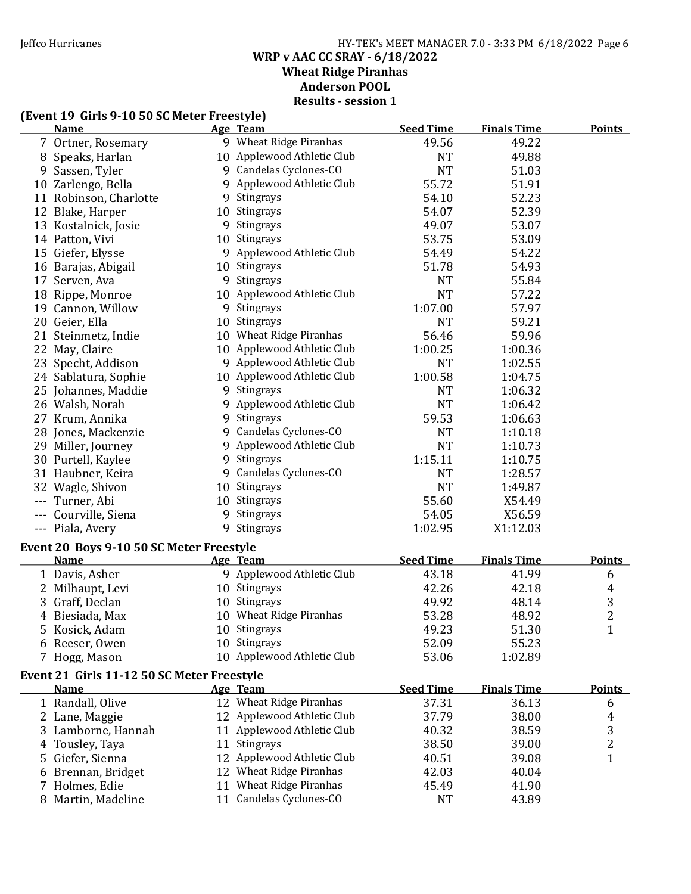### Jeffco Hurricanes HY-TEK's MEET MANAGER 7.0 - 3:33 PM 6/18/2022 Page 6 WRP v AAC CC SRAY - 6/18/2022 Wheat Ridge Piranhas Anderson POOL Results - session 1

### (Event 19 Girls 9-10 50 SC Meter Freestyle)

|    | <b>Name</b>                                |    | Age Team                    | <b>Seed Time</b> | <b>Finals Time</b> | <b>Points</b>  |
|----|--------------------------------------------|----|-----------------------------|------------------|--------------------|----------------|
|    | 7 Ortner, Rosemary                         |    | 9 Wheat Ridge Piranhas      | 49.56            | 49.22              |                |
|    | 8 Speaks, Harlan                           |    | 10 Applewood Athletic Club  | <b>NT</b>        | 49.88              |                |
| 9  | Sassen, Tyler                              |    | 9 Candelas Cyclones-CO      | <b>NT</b>        | 51.03              |                |
|    | 10 Zarlengo, Bella                         |    | 9 Applewood Athletic Club   | 55.72            | 51.91              |                |
|    | 11 Robinson, Charlotte                     |    | 9 Stingrays                 | 54.10            | 52.23              |                |
|    | 12 Blake, Harper                           |    | 10 Stingrays                | 54.07            | 52.39              |                |
|    | 13 Kostalnick, Josie                       |    | 9 Stingrays                 | 49.07            | 53.07              |                |
|    | 14 Patton, Vivi                            |    | 10 Stingrays                | 53.75            | 53.09              |                |
|    | 15 Giefer, Elysse                          |    | 9 Applewood Athletic Club   | 54.49            | 54.22              |                |
|    | 16 Barajas, Abigail                        |    | 10 Stingrays                | 51.78            | 54.93              |                |
|    | 17 Serven, Ava                             |    | 9 Stingrays                 | <b>NT</b>        | 55.84              |                |
|    | 18 Rippe, Monroe                           |    | 10 Applewood Athletic Club  | <b>NT</b>        | 57.22              |                |
|    | 19 Cannon, Willow                          |    | 9 Stingrays                 | 1:07.00          | 57.97              |                |
|    | 20 Geier, Ella                             |    | 10 Stingrays                | <b>NT</b>        | 59.21              |                |
|    | 21 Steinmetz, Indie                        |    | 10 Wheat Ridge Piranhas     | 56.46            | 59.96              |                |
|    | 22 May, Claire                             |    | 10 Applewood Athletic Club  | 1:00.25          | 1:00.36            |                |
|    | 23 Specht, Addison                         |    | 9 Applewood Athletic Club   | <b>NT</b>        | 1:02.55            |                |
|    | 24 Sablatura, Sophie                       |    | 10 Applewood Athletic Club  | 1:00.58          | 1:04.75            |                |
|    | 25 Johannes, Maddie                        |    | 9 Stingrays                 | <b>NT</b>        | 1:06.32            |                |
|    | 26 Walsh, Norah                            |    | 9 Applewood Athletic Club   | <b>NT</b>        | 1:06.42            |                |
|    | 27 Krum, Annika                            |    | 9 Stingrays                 | 59.53            | 1:06.63            |                |
|    | 28 Jones, Mackenzie                        |    | 9 Candelas Cyclones-CO      | <b>NT</b>        | 1:10.18            |                |
|    | 29 Miller, Journey                         |    | 9 Applewood Athletic Club   | <b>NT</b>        | 1:10.73            |                |
|    | 30 Purtell, Kaylee                         |    | 9 Stingrays                 | 1:15.11          | 1:10.75            |                |
|    | 31 Haubner, Keira                          |    | 9 Candelas Cyclones-CO      | <b>NT</b>        | 1:28.57            |                |
|    | 32 Wagle, Shivon                           |    | 10 Stingrays                | <b>NT</b>        | 1:49.87            |                |
|    | --- Turner, Abi                            |    | 10 Stingrays                | 55.60            | X54.49             |                |
|    | --- Courville, Siena                       |    | 9 Stingrays                 | 54.05            | X56.59             |                |
|    | --- Piala, Avery                           |    | 9 Stingrays                 | 1:02.95          | X1:12.03           |                |
|    | Event 20 Boys 9-10 50 SC Meter Freestyle   |    |                             |                  |                    |                |
|    | <b>Name</b>                                |    | Age Team                    | <b>Seed Time</b> | <b>Finals Time</b> | <b>Points</b>  |
|    | 1 Davis, Asher                             |    | 9 Applewood Athletic Club   | 43.18            | 41.99              | 6              |
|    | 2 Milhaupt, Levi                           |    | 10 Stingrays                | 42.26            | 42.18              | 4              |
|    | 3 Graff, Declan                            |    | 10 Stingrays                | 49.92            | 48.14              | 3              |
|    | 4 Biesiada, Max                            |    | 10 Wheat Ridge Piranhas     | 53.28            | 48.92              | $\overline{2}$ |
|    | 5 Kosick, Adam                             |    | 10 Stingrays                | 49.23            | 51.30              | $\mathbf{1}$   |
|    | 6 Reeser, Owen                             |    | 10 Stingrays                | 52.09            | 55.23              |                |
|    | 7 Hogg, Mason                              |    | 10 Applewood Athletic Club  | 53.06            | 1:02.89            |                |
|    | Event 21 Girls 11-12 50 SC Meter Freestyle |    |                             |                  |                    |                |
|    | <b>Name</b>                                |    | Age Team                    | <b>Seed Time</b> | <b>Finals Time</b> | <b>Points</b>  |
|    | 1 Randall, Olive                           |    | 12 Wheat Ridge Piranhas     | 37.31            | 36.13              | 6              |
|    | 2 Lane, Maggie                             |    | 12 Applewood Athletic Club  | 37.79            | 38.00              | 4              |
|    | 3 Lamborne, Hannah                         |    | 11 Applewood Athletic Club  | 40.32            | 38.59              | 3              |
| 4  | Tousley, Taya                              | 11 | Stingrays                   | 38.50            | 39.00              | $\overline{c}$ |
| 5. | Giefer, Sienna                             |    | 12 Applewood Athletic Club  | 40.51            | 39.08              | $\overline{1}$ |
| 6  | Brennan, Bridget                           |    | 12 Wheat Ridge Piranhas     | 42.03            | 40.04              |                |
|    | Holmes, Edie                               | 11 | <b>Wheat Ridge Piranhas</b> | 45.49            | 41.90              |                |
|    | 8 Martin, Madeline                         |    | 11 Candelas Cyclones-CO     | <b>NT</b>        | 43.89              |                |
|    |                                            |    |                             |                  |                    |                |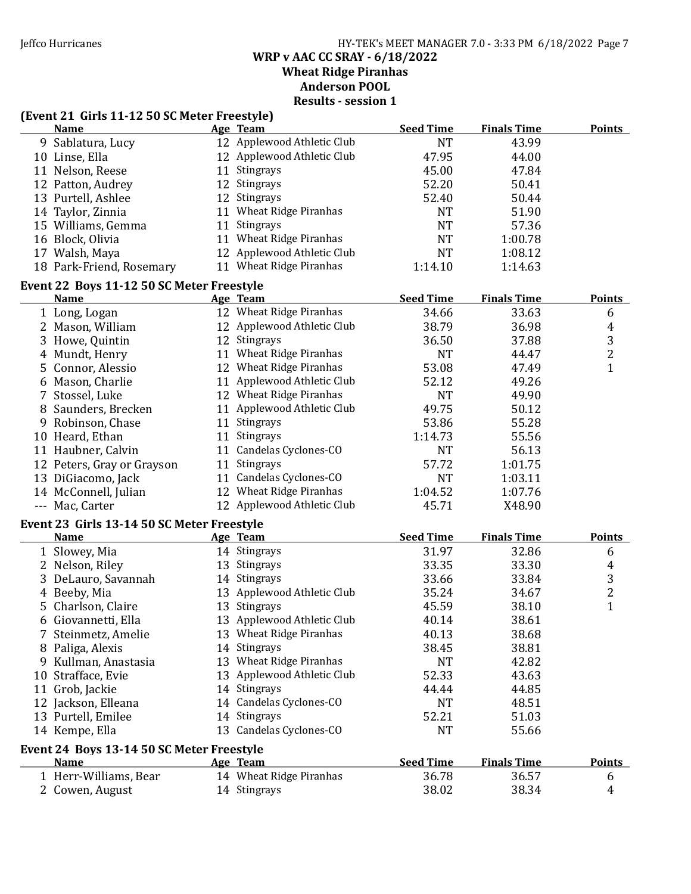### Jeffco Hurricanes HY-TEK's MEET MANAGER 7.0 - 3:33 PM 6/18/2022 Page 7 WRP v AAC CC SRAY - 6/18/2022 Wheat Ridge Piranhas

Anderson POOL

Results - session 1

### (Event 21 Girls 11-12 50 SC Meter Freestyle)

| <b>Name</b>                                       |    | Age Team                   | <b>Seed Time</b> | <b>Finals Time</b> | <b>Points</b>           |
|---------------------------------------------------|----|----------------------------|------------------|--------------------|-------------------------|
| 9 Sablatura, Lucy                                 |    | 12 Applewood Athletic Club | <b>NT</b>        | 43.99              |                         |
| 10 Linse, Ella                                    |    | 12 Applewood Athletic Club | 47.95            | 44.00              |                         |
| 11 Nelson, Reese                                  |    | 11 Stingrays               | 45.00            | 47.84              |                         |
| 12 Patton, Audrey                                 |    | 12 Stingrays               | 52.20            | 50.41              |                         |
| 13 Purtell, Ashlee                                |    | 12 Stingrays               | 52.40            | 50.44              |                         |
| 14 Taylor, Zinnia                                 |    | 11 Wheat Ridge Piranhas    | <b>NT</b>        | 51.90              |                         |
| 15 Williams, Gemma                                |    | 11 Stingrays               | <b>NT</b>        | 57.36              |                         |
| 16 Block, Olivia                                  |    | 11 Wheat Ridge Piranhas    | <b>NT</b>        | 1:00.78            |                         |
| 17 Walsh, Maya                                    |    | 12 Applewood Athletic Club | <b>NT</b>        | 1:08.12            |                         |
| 18 Park-Friend, Rosemary                          |    | 11 Wheat Ridge Piranhas    | 1:14.10          | 1:14.63            |                         |
|                                                   |    |                            |                  |                    |                         |
| Event 22 Boys 11-12 50 SC Meter Freestyle<br>Name |    | Age Team                   | <b>Seed Time</b> | <b>Finals Time</b> | <b>Points</b>           |
|                                                   |    | 12 Wheat Ridge Piranhas    | 34.66            | 33.63              |                         |
| 1 Long, Logan                                     |    |                            |                  |                    | 6                       |
| 2 Mason, William                                  |    | 12 Applewood Athletic Club | 38.79            | 36.98              | 4                       |
| 3 Howe, Quintin                                   |    | 12 Stingrays               | 36.50            | 37.88              | 3                       |
| 4 Mundt, Henry                                    |    | 11 Wheat Ridge Piranhas    | <b>NT</b>        | 44.47              | 2                       |
| 5 Connor, Alessio                                 |    | 12 Wheat Ridge Piranhas    | 53.08            | 47.49              | 1                       |
| 6 Mason, Charlie                                  |    | 11 Applewood Athletic Club | 52.12            | 49.26              |                         |
| 7 Stossel, Luke                                   |    | 12 Wheat Ridge Piranhas    | <b>NT</b>        | 49.90              |                         |
| 8 Saunders, Brecken                               |    | 11 Applewood Athletic Club | 49.75            | 50.12              |                         |
| 9 Robinson, Chase                                 |    | 11 Stingrays               | 53.86            | 55.28              |                         |
| 10 Heard, Ethan                                   |    | 11 Stingrays               | 1:14.73          | 55.56              |                         |
| 11 Haubner, Calvin                                |    | 11 Candelas Cyclones-CO    | <b>NT</b>        | 56.13              |                         |
| 12 Peters, Gray or Grayson                        |    | 11 Stingrays               | 57.72            | 1:01.75            |                         |
| 13 DiGiacomo, Jack                                |    | 11 Candelas Cyclones-CO    | <b>NT</b>        | 1:03.11            |                         |
| 14 McConnell, Julian                              |    | 12 Wheat Ridge Piranhas    | 1:04.52          | 1:07.76            |                         |
| --- Mac, Carter                                   |    | 12 Applewood Athletic Club | 45.71            | X48.90             |                         |
| Event 23 Girls 13-14 50 SC Meter Freestyle        |    |                            |                  |                    |                         |
| <b>Name</b>                                       |    | Age Team                   | <b>Seed Time</b> | <b>Finals Time</b> | <b>Points</b>           |
| 1 Slowey, Mia                                     |    | 14 Stingrays               | 31.97            | 32.86              | 6                       |
| 2 Nelson, Riley                                   |    | 13 Stingrays               | 33.35            | 33.30              | 4                       |
| 3 DeLauro, Savannah                               |    | 14 Stingrays               | 33.66            | 33.84              | 3                       |
| 4 Beeby, Mia                                      |    | 13 Applewood Athletic Club | 35.24            | 34.67              | $\overline{\mathbf{c}}$ |
| 5 Charlson, Claire                                |    | 13 Stingrays               | 45.59            | 38.10              | $\mathbf{1}$            |
| 6 Giovannetti, Ella                               |    | 13 Applewood Athletic Club | 40.14            | 38.61              |                         |
| 7 Steinmetz, Amelie                               |    | 13 Wheat Ridge Piranhas    | 40.13            | 38.68              |                         |
| 8 Paliga, Alexis                                  |    | 14 Stingrays               | 38.45            | 38.81              |                         |
| 9 Kullman, Anastasia                              |    | 13 Wheat Ridge Piranhas    | <b>NT</b>        | 42.82              |                         |
| 10 Strafface, Evie                                |    | 13 Applewood Athletic Club | 52.33            | 43.63              |                         |
| 11 Grob, Jackie                                   |    | 14 Stingrays               | 44.44            | 44.85              |                         |
| 12 Jackson, Elleana                               | 14 | Candelas Cyclones-CO       | <b>NT</b>        | 48.51              |                         |
|                                                   |    | Stingrays                  | 52.21            |                    |                         |
| 13 Purtell, Emilee                                | 14 |                            |                  | 51.03              |                         |
| 14 Kempe, Ella                                    |    | 13 Candelas Cyclones-CO    | <b>NT</b>        | 55.66              |                         |
| Event 24 Boys 13-14 50 SC Meter Freestyle         |    |                            |                  |                    |                         |
| <b>Name</b>                                       |    | Age Team                   | <b>Seed Time</b> | <b>Finals Time</b> | <b>Points</b>           |
| 1 Herr-Williams, Bear                             |    | 14 Wheat Ridge Piranhas    | 36.78            | 36.57              | 6                       |
| 2 Cowen, August                                   |    | 14 Stingrays               | 38.02            | 38.34              | 4                       |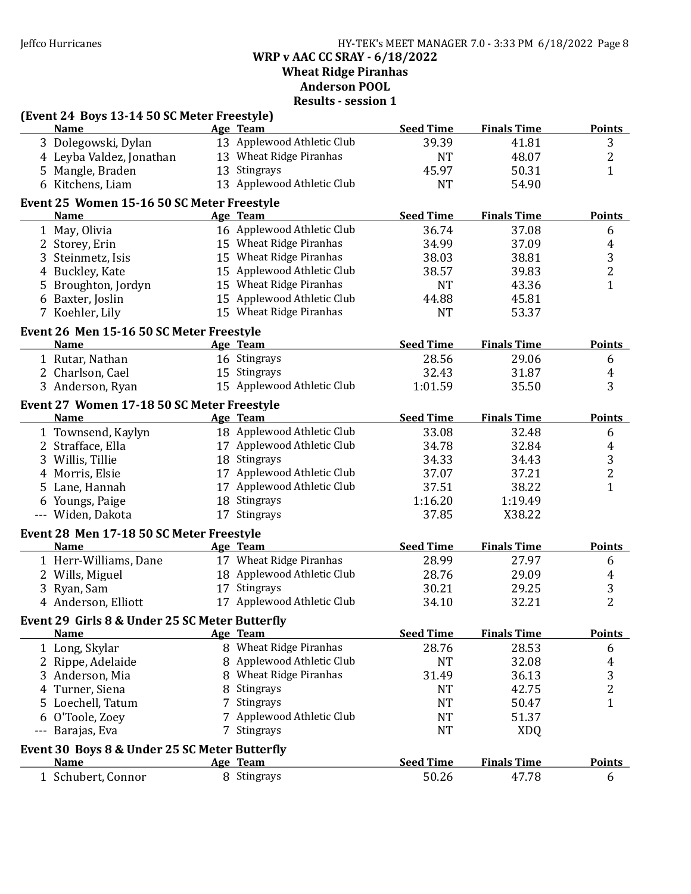Jeffco Hurricanes HY-TEK's MEET MANAGER 7.0 - 3:33 PM 6/18/2022 Page 8 WRP v AAC CC SRAY - 6/18/2022 Wheat Ridge Piranhas

Anderson POOL

|     | (Event 24 Boys 13-14 50 SC Meter Freestyle)<br><b>Name</b> |   | Age Team                   | <b>Seed Time</b> | <b>Finals Time</b> | <b>Points</b>           |
|-----|------------------------------------------------------------|---|----------------------------|------------------|--------------------|-------------------------|
|     | 3 Dolegowski, Dylan                                        |   | 13 Applewood Athletic Club | 39.39            | 41.81              | 3                       |
|     | 4 Leyba Valdez, Jonathan                                   |   | 13 Wheat Ridge Piranhas    | <b>NT</b>        | 48.07              | $\overline{c}$          |
|     | 5 Mangle, Braden                                           |   | 13 Stingrays               | 45.97            | 50.31              | $\mathbf{1}$            |
|     | 6 Kitchens, Liam                                           |   | 13 Applewood Athletic Club | <b>NT</b>        | 54.90              |                         |
|     |                                                            |   |                            |                  |                    |                         |
|     | Event 25 Women 15-16 50 SC Meter Freestyle<br><b>Name</b>  |   | Age Team                   | <b>Seed Time</b> | <b>Finals Time</b> | <b>Points</b>           |
|     | 1 May, Olivia                                              |   | 16 Applewood Athletic Club | 36.74            | 37.08              | 6                       |
|     | 2 Storey, Erin                                             |   | 15 Wheat Ridge Piranhas    | 34.99            | 37.09              | $\overline{4}$          |
|     | 3 Steinmetz, Isis                                          |   | 15 Wheat Ridge Piranhas    | 38.03            | 38.81              | 3                       |
|     | 4 Buckley, Kate                                            |   | 15 Applewood Athletic Club | 38.57            | 39.83              | $\overline{c}$          |
|     |                                                            |   | 15 Wheat Ridge Piranhas    |                  |                    | $\mathbf{1}$            |
|     | 5 Broughton, Jordyn                                        |   |                            | <b>NT</b>        | 43.36              |                         |
|     | 6 Baxter, Joslin                                           |   | 15 Applewood Athletic Club | 44.88            | 45.81              |                         |
|     | 7 Koehler, Lily                                            |   | 15 Wheat Ridge Piranhas    | <b>NT</b>        | 53.37              |                         |
|     | Event 26 Men 15-16 50 SC Meter Freestyle                   |   |                            |                  |                    |                         |
|     | <b>Name</b>                                                |   | Age Team                   | <b>Seed Time</b> | <b>Finals Time</b> | <b>Points</b>           |
|     | 1 Rutar, Nathan                                            |   | 16 Stingrays               | 28.56            | 29.06              | 6                       |
|     | 2 Charlson, Cael                                           |   | 15 Stingrays               | 32.43            | 31.87              | 4                       |
|     | 3 Anderson, Ryan                                           |   | 15 Applewood Athletic Club | 1:01.59          | 35.50              | 3                       |
|     | Event 27 Women 17-18 50 SC Meter Freestyle                 |   |                            |                  |                    |                         |
|     | <b>Name</b>                                                |   | Age Team                   | <b>Seed Time</b> | <b>Finals Time</b> | <b>Points</b>           |
|     | 1 Townsend, Kaylyn                                         |   | 18 Applewood Athletic Club | 33.08            | 32.48              | 6                       |
|     | 2 Strafface, Ella                                          |   | 17 Applewood Athletic Club | 34.78            | 32.84              | $\overline{4}$          |
|     | 3 Willis, Tillie                                           |   | 18 Stingrays               | 34.33            | 34.43              | 3                       |
|     | 4 Morris, Elsie                                            |   | 17 Applewood Athletic Club | 37.07            | 37.21              | $\overline{\mathbf{c}}$ |
|     | 5 Lane, Hannah                                             |   | 17 Applewood Athletic Club | 37.51            | 38.22              | $\mathbf{1}$            |
|     | 6 Youngs, Paige                                            |   | 18 Stingrays               | 1:16.20          | 1:19.49            |                         |
|     | --- Widen, Dakota                                          |   | 17 Stingrays               | 37.85            | X38.22             |                         |
|     | Event 28 Men 17-18 50 SC Meter Freestyle                   |   |                            |                  |                    |                         |
|     | <b>Name</b>                                                |   | Age Team                   | <b>Seed Time</b> | <b>Finals Time</b> | <b>Points</b>           |
|     | 1 Herr-Williams, Dane                                      |   | 17 Wheat Ridge Piranhas    | 28.99            | 27.97              | 6                       |
|     | 2 Wills, Miguel                                            |   | 18 Applewood Athletic Club | 28.76            | 29.09              | 4                       |
|     | 3 Ryan, Sam                                                |   | 17 Stingrays               | 30.21            | 29.25              | 3                       |
|     | 4 Anderson, Elliott                                        |   | 17 Applewood Athletic Club | 34.10            | 32.21              | $\overline{2}$          |
|     | Event 29 Girls 8 & Under 25 SC Meter Butterfly             |   |                            |                  |                    |                         |
|     | <b>Name</b>                                                |   | Age Team                   | <b>Seed Time</b> | <b>Finals Time</b> | <b>Points</b>           |
|     | 1 Long, Skylar                                             |   | 8 Wheat Ridge Piranhas     | 28.76            | 28.53              | 6                       |
|     | 2 Rippe, Adelaide                                          | 8 | Applewood Athletic Club    | <b>NT</b>        | 32.08              | 4                       |
|     | 3 Anderson, Mia                                            |   | 8 Wheat Ridge Piranhas     | 31.49            | 36.13              | 3                       |
|     | 4 Turner, Siena                                            | 8 | Stingrays                  | <b>NT</b>        | 42.75              | 2                       |
|     | 5 Loechell, Tatum                                          |   | Stingrays                  | <b>NT</b>        | 50.47              | 1                       |
| 6   | O'Toole, Zoey                                              |   | Applewood Athletic Club    | <b>NT</b>        | 51.37              |                         |
| --- | Barajas, Eva                                               |   | 7 Stingrays                | <b>NT</b>        | <b>XDQ</b>         |                         |
|     |                                                            |   |                            |                  |                    |                         |
|     | Event 30 Boys 8 & Under 25 SC Meter Butterfly              |   |                            |                  |                    |                         |
|     | <b>Name</b>                                                |   | Age Team                   | <b>Seed Time</b> | <b>Finals Time</b> | <b>Points</b>           |
|     | 1 Schubert, Connor                                         |   | 8 Stingrays                | 50.26            | 47.78              | 6                       |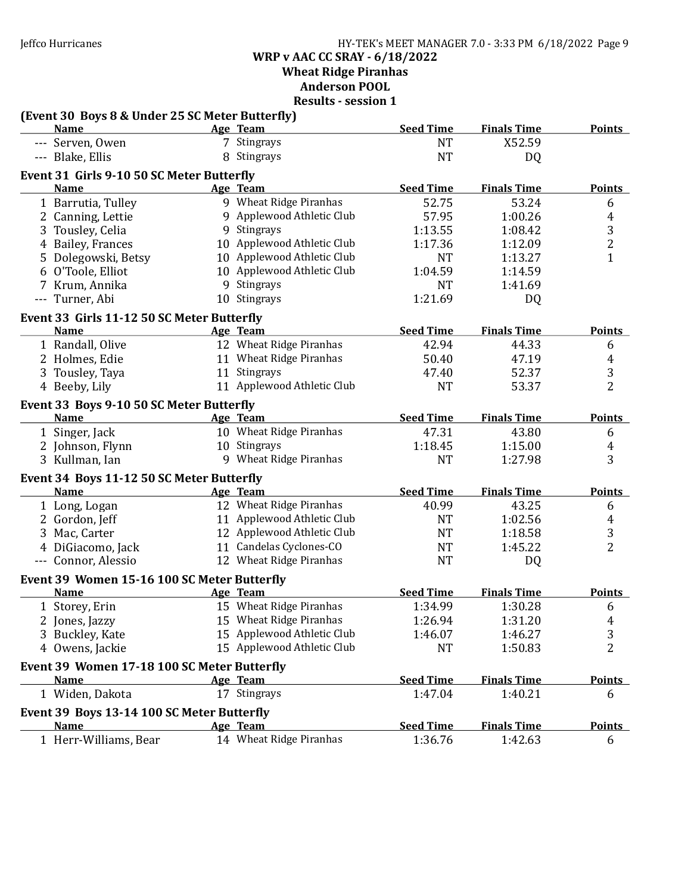# Jeffco Hurricanes HY-TEK's MEET MANAGER 7.0 - 3:33 PM 6/18/2022 Page 9 WRP v AAC CC SRAY - 6/18/2022 Wheat Ridge Piranhas

Anderson POOL

| (Event 30 Boys 8 & Under 25 SC Meter Butterfly) |                            |                  |                    |                         |
|-------------------------------------------------|----------------------------|------------------|--------------------|-------------------------|
| <b>Name</b>                                     | Age Team                   | <b>Seed Time</b> | <b>Finals Time</b> | <b>Points</b>           |
| --- Serven, Owen                                | 7 Stingrays                | <b>NT</b>        | X52.59             |                         |
| --- Blake, Ellis                                | 8 Stingrays                | <b>NT</b>        | DQ                 |                         |
| Event 31 Girls 9-10 50 SC Meter Butterfly       |                            |                  |                    |                         |
| <b>Name</b>                                     | Age Team                   | <b>Seed Time</b> | <b>Finals Time</b> | <b>Points</b>           |
| 1 Barrutia, Tulley                              | 9 Wheat Ridge Piranhas     | 52.75            | 53.24              | 6                       |
| 2 Canning, Lettie                               | 9 Applewood Athletic Club  | 57.95            | 1:00.26            | 4                       |
| 3 Tousley, Celia                                | 9 Stingrays                | 1:13.55          | 1:08.42            | 3                       |
| 4 Bailey, Frances                               | 10 Applewood Athletic Club | 1:17.36          | 1:12.09            | $\overline{\mathbf{c}}$ |
| 5 Dolegowski, Betsy                             | 10 Applewood Athletic Club | <b>NT</b>        | 1:13.27            | $\mathbf{1}$            |
| 6 O'Toole, Elliot                               | 10 Applewood Athletic Club | 1:04.59          | 1:14.59            |                         |
| 7 Krum, Annika                                  | 9 Stingrays                | <b>NT</b>        | 1:41.69            |                         |
| --- Turner, Abi                                 | 10 Stingrays               | 1:21.69          | <b>DQ</b>          |                         |
| Event 33 Girls 11-12 50 SC Meter Butterfly      |                            |                  |                    |                         |
| <b>Name</b>                                     | Age Team                   | <b>Seed Time</b> | <b>Finals Time</b> | <b>Points</b>           |
| 1 Randall, Olive                                | 12 Wheat Ridge Piranhas    | 42.94            | 44.33              | 6                       |
| 2 Holmes, Edie                                  | 11 Wheat Ridge Piranhas    | 50.40            | 47.19              | $\overline{4}$          |
| 3 Tousley, Taya                                 | 11 Stingrays               | 47.40            | 52.37              | 3                       |
| 4 Beeby, Lily                                   | 11 Applewood Athletic Club | <b>NT</b>        | 53.37              | $\overline{2}$          |
| Event 33 Boys 9-10 50 SC Meter Butterfly        |                            |                  |                    |                         |
| <b>Name</b>                                     | Age Team                   | <b>Seed Time</b> | <b>Finals Time</b> | <b>Points</b>           |
| 1 Singer, Jack                                  | 10 Wheat Ridge Piranhas    | 47.31            | 43.80              | 6                       |
| 2 Johnson, Flynn                                | 10 Stingrays               | 1:18.45          | 1:15.00            | 4                       |
| 3 Kullman, Ian                                  | 9 Wheat Ridge Piranhas     | <b>NT</b>        | 1:27.98            | 3                       |
| Event 34 Boys 11-12 50 SC Meter Butterfly       |                            |                  |                    |                         |
| <b>Name</b>                                     | Age Team                   | <b>Seed Time</b> | <b>Finals Time</b> | <b>Points</b>           |
| 1 Long, Logan                                   | 12 Wheat Ridge Piranhas    | 40.99            | 43.25              | 6                       |
| 2 Gordon, Jeff                                  | 11 Applewood Athletic Club | <b>NT</b>        | 1:02.56            | $\overline{4}$          |
| 3 Mac, Carter                                   | 12 Applewood Athletic Club | <b>NT</b>        | 1:18.58            | 3                       |
| 4 DiGiacomo, Jack                               | 11 Candelas Cyclones-CO    | <b>NT</b>        | 1:45.22            | $\overline{2}$          |
| --- Connor, Alessio                             | 12 Wheat Ridge Piranhas    | <b>NT</b>        | DQ                 |                         |
| Event 39 Women 15-16 100 SC Meter Butterfly     |                            |                  |                    |                         |
| <b>Name</b>                                     | Age Team                   | <b>Seed Time</b> | <b>Finals Time</b> | <b>Points</b>           |
| 1 Storey, Erin                                  | 15 Wheat Ridge Piranhas    | 1:34.99          | 1:30.28            | 6                       |
| 2 Jones, Jazzy                                  | 15 Wheat Ridge Piranhas    | 1:26.94          | 1:31.20            | 4                       |
| 3 Buckley, Kate                                 | 15 Applewood Athletic Club | 1:46.07          | 1:46.27            | 3                       |
| 4 Owens, Jackie                                 | 15 Applewood Athletic Club | <b>NT</b>        | 1:50.83            | $\overline{2}$          |
| Event 39 Women 17-18 100 SC Meter Butterfly     |                            |                  |                    |                         |
| <b>Name</b>                                     | Age Team                   | <b>Seed Time</b> | <b>Finals Time</b> | <b>Points</b>           |
| 1 Widen, Dakota                                 | 17 Stingrays               | 1:47.04          | 1:40.21            | 6                       |
| Event 39 Boys 13-14 100 SC Meter Butterfly      |                            |                  |                    |                         |
| <b>Name</b>                                     | Age Team                   | <b>Seed Time</b> | <b>Finals Time</b> | <b>Points</b>           |
| 1 Herr-Williams, Bear                           | 14 Wheat Ridge Piranhas    | 1:36.76          | 1:42.63            | 6                       |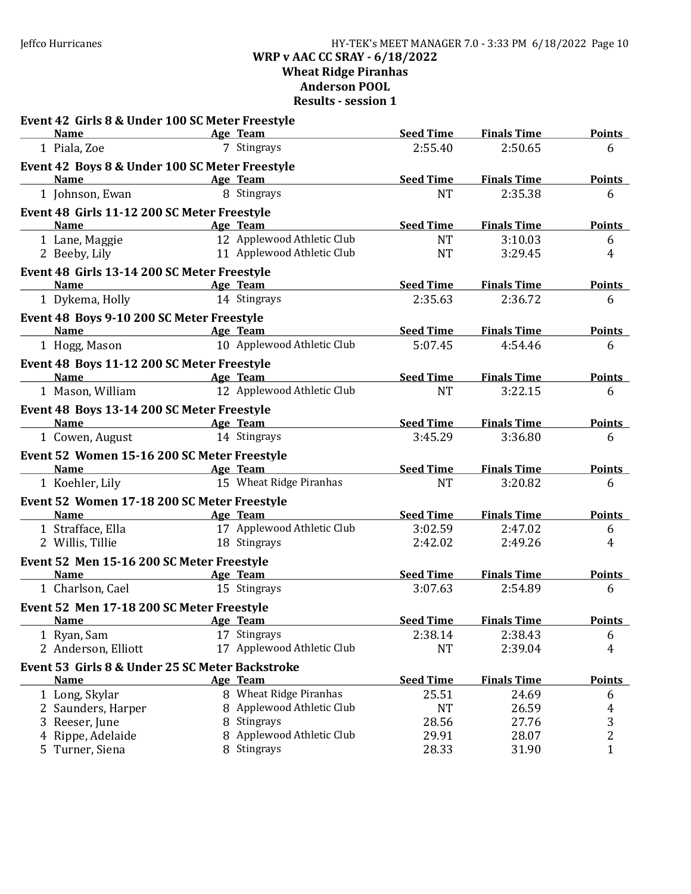### Jeffco Hurricanes HY-TEK's MEET MANAGER 7.0 - 3:33 PM 6/18/2022 Page 10 WRP v AAC CC SRAY - 6/18/2022 Wheat Ridge Piranhas Anderson POOL Results - session 1

| Event 42 Girls 8 & Under 100 SC Meter Freestyle                  |                              |                  |                    |               |
|------------------------------------------------------------------|------------------------------|------------------|--------------------|---------------|
| <b>Name</b>                                                      | <b>Example 2</b> Age Team    | <b>Seed Time</b> | <b>Finals Time</b> | <b>Points</b> |
| 1 Piala, Zoe                                                     | 7 Stingrays                  | 2:55.40          | 2:50.65            | 6             |
| Event 42 Boys 8 & Under 100 SC Meter Freestyle                   |                              |                  |                    |               |
| <b>Name</b>                                                      | <b>Example 2018</b> Age Team | <b>Seed Time</b> | <b>Finals Time</b> | <b>Points</b> |
| 1 Johnson, Ewan                                                  | 8 Stingrays                  | <b>NT</b>        | 2:35.38            | 6             |
| Event 48 Girls 11-12 200 SC Meter Freestyle                      |                              |                  |                    |               |
| <b>Name</b>                                                      | Age Team                     | <b>Seed Time</b> | <b>Finals Time</b> | <b>Points</b> |
| 1 Lane, Maggie                                                   | 12 Applewood Athletic Club   | <b>NT</b>        | 3:10.03            | 6             |
| 2 Beeby, Lily                                                    | 11 Applewood Athletic Club   | <b>NT</b>        | 3:29.45            | 4             |
| Event 48 Girls 13-14 200 SC Meter Freestyle                      |                              |                  |                    |               |
| <b>Name</b>                                                      | <b>Example 2 Age Team</b>    | Seed Time        | <b>Finals Time</b> | <b>Points</b> |
| 1 Dykema, Holly                                                  | 14 Stingrays                 | 2:35.63          | 2:36.72            | 6             |
| Event 48 Boys 9-10 200 SC Meter Freestyle                        |                              |                  |                    |               |
| Name                                                             | <b>Example 2</b> Age Team    | <b>Seed Time</b> | <b>Finals Time</b> | <b>Points</b> |
| 1 Hogg, Mason                                                    | 10 Applewood Athletic Club   | 5:07.45          | 4:54.46            | 6             |
| Event 48 Boys 11-12 200 SC Meter Freestyle                       |                              |                  |                    |               |
| Name Age Team                                                    |                              | <b>Seed Time</b> | <b>Finals Time</b> | <b>Points</b> |
| 1 Mason, William                                                 | 12 Applewood Athletic Club   | <b>NT</b>        | 3:22.15            | 6             |
| Event 48 Boys 13-14 200 SC Meter Freestyle                       |                              |                  |                    |               |
| <b>Name</b>                                                      | <b>Example 2016</b> Age Team | <b>Seed Time</b> | <b>Finals Time</b> | <b>Points</b> |
| 1 Cowen, August                                                  | 14 Stingrays                 | 3:45.29          | 3:36.80            | 6             |
| Event 52 Women 15-16 200 SC Meter Freestyle                      |                              |                  |                    |               |
| <b>Name</b><br><u> 1980 - Johann Barbara, martxa alemaniar a</u> | Age Team                     | <b>Seed Time</b> | <b>Finals Time</b> | <b>Points</b> |
| 1 Koehler, Lily                                                  | 15 Wheat Ridge Piranhas      | <b>NT</b>        | 3:20.82            | 6             |
| Event 52 Women 17-18 200 SC Meter Freestyle                      |                              |                  |                    |               |
| <b>Name</b>                                                      | Age Team                     | <b>Seed Time</b> | <b>Finals Time</b> | <b>Points</b> |
| 1 Strafface, Ella                                                | 17 Applewood Athletic Club   | 3:02.59          | 2:47.02            | 6             |
| 2 Willis, Tillie                                                 | 18 Stingrays                 | 2:42.02          | 2:49.26            | 4             |
| Event 52 Men 15-16 200 SC Meter Freestyle                        |                              |                  |                    |               |
| <b>Name</b>                                                      | <b>Example 2</b> Age Team    | <b>Seed Time</b> | <b>Finals Time</b> | <b>Points</b> |
| 1 Charlson, Cael                                                 | 15 Stingrays                 | 3:07.63          | 2:54.89            | 6             |
| Event 52 Men 17-18 200 SC Meter Freestyle                        |                              |                  |                    |               |
| <b>Name</b><br><u>Age Team</u>                                   |                              | <b>Seed Time</b> | <b>Finals Time</b> | <b>Points</b> |
| 1 Ryan, Sam                                                      | 17 Stingrays                 | 2:38.14          | 2:38.43            | 6             |
| 2 Anderson, Elliott                                              | 17 Applewood Athletic Club   | <b>NT</b>        | 2:39.04            | 4             |
| Event 53 Girls 8 & Under 25 SC Meter Backstroke                  |                              |                  |                    |               |
| <b>Name</b>                                                      | Age Team                     | <b>Seed Time</b> | <b>Finals Time</b> | <b>Points</b> |
| 1 Long, Skylar                                                   | 8 Wheat Ridge Piranhas       | 25.51            | 24.69              | 6             |
| 2 Saunders, Harper                                               | 8 Applewood Athletic Club    | <b>NT</b>        | 26.59              | 4             |
| 3 Reeser, June                                                   | 8 Stingrays                  | 28.56            | 27.76              | 3             |
| 4 Rippe, Adelaide                                                | 8 Applewood Athletic Club    | 29.91            | 28.07              | 2             |
| 5 Turner, Siena                                                  | 8 Stingrays                  | 28.33            | 31.90              | $\mathbf{1}$  |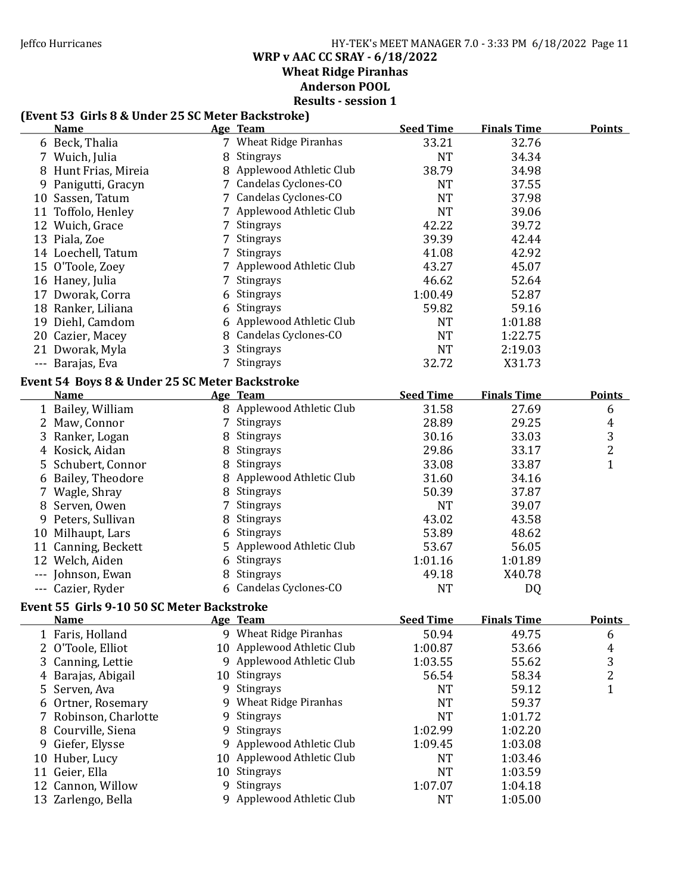Jeffco Hurricanes HY-TEK's MEET MANAGER 7.0 - 3:33 PM 6/18/2022 Page 11 WRP v AAC CC SRAY - 6/18/2022 Wheat Ridge Piranhas Anderson POOL

# Results - session 1

# (Event 53 Girls 8 & Under 25 SC Meter Backstroke)

|    | TERCIII JJ "UIHS 0 & UIHCL" ZJ JC MCICL" DACKSII UKCT<br><u>Name</u> |    | Age Team                    | <b>Seed Time</b> | <b>Finals Time</b> | <b>Points</b>  |
|----|----------------------------------------------------------------------|----|-----------------------------|------------------|--------------------|----------------|
|    | 6 Beck, Thalia                                                       |    | 7 Wheat Ridge Piranhas      | 33.21            | 32.76              |                |
|    | 7 Wuich, Julia                                                       |    | 8 Stingrays                 | <b>NT</b>        | 34.34              |                |
|    | 8 Hunt Frias, Mireia                                                 |    | 8 Applewood Athletic Club   | 38.79            | 34.98              |                |
|    | 9 Panigutti, Gracyn                                                  |    | 7 Candelas Cyclones-CO      | <b>NT</b>        | 37.55              |                |
|    | 10 Sassen, Tatum                                                     |    | 7 Candelas Cyclones-CO      | <b>NT</b>        | 37.98              |                |
|    | 11 Toffolo, Henley                                                   |    | 7 Applewood Athletic Club   | <b>NT</b>        | 39.06              |                |
|    | 12 Wuich, Grace                                                      |    | 7 Stingrays                 | 42.22            | 39.72              |                |
|    | 13 Piala, Zoe                                                        |    | 7 Stingrays                 | 39.39            | 42.44              |                |
|    | 14 Loechell, Tatum                                                   |    | 7 Stingrays                 | 41.08            | 42.92              |                |
|    | 15 O'Toole, Zoey                                                     |    | 7 Applewood Athletic Club   | 43.27            | 45.07              |                |
|    | 16 Haney, Julia                                                      | 7  | Stingrays                   | 46.62            | 52.64              |                |
|    | 17 Dworak, Corra                                                     |    | Stingrays                   | 1:00.49          | 52.87              |                |
|    | 18 Ranker, Liliana                                                   |    | 6 Stingrays                 | 59.82            | 59.16              |                |
|    | 19 Diehl, Camdom                                                     |    | 6 Applewood Athletic Club   | <b>NT</b>        | 1:01.88            |                |
|    | 20 Cazier, Macey                                                     |    | 8 Candelas Cyclones-CO      | <b>NT</b>        | 1:22.75            |                |
|    | 21 Dworak, Myla                                                      |    | 3 Stingrays                 | <b>NT</b>        | 2:19.03            |                |
|    | --- Barajas, Eva                                                     |    | 7 Stingrays                 | 32.72            | X31.73             |                |
|    |                                                                      |    |                             |                  |                    |                |
|    | Event 54 Boys 8 & Under 25 SC Meter Backstroke<br><b>Name</b>        |    | Age Team                    | <b>Seed Time</b> | <b>Finals Time</b> | <b>Points</b>  |
|    | 1 Bailey, William                                                    |    | 8 Applewood Athletic Club   | 31.58            | 27.69              | 6              |
|    | 2 Maw, Connor                                                        |    | 7 Stingrays                 | 28.89            | 29.25              | $\overline{4}$ |
|    |                                                                      |    | 8 Stingrays                 | 30.16            | 33.03              | $\mathbf{3}$   |
|    | 3 Ranker, Logan<br>4 Kosick, Aidan                                   |    | 8 Stingrays                 | 29.86            | 33.17              | $\overline{2}$ |
|    | 5 Schubert, Connor                                                   |    | 8 Stingrays                 | 33.08            | 33.87              | $\mathbf{1}$   |
|    |                                                                      |    | 8 Applewood Athletic Club   | 31.60            | 34.16              |                |
|    | 6 Bailey, Theodore                                                   |    | 8 Stingrays                 | 50.39            | 37.87              |                |
|    | 7 Wagle, Shray<br>8 Serven, Owen                                     | 7  | Stingrays                   | <b>NT</b>        | 39.07              |                |
|    |                                                                      |    | 8 Stingrays                 | 43.02            | 43.58              |                |
|    | 9 Peters, Sullivan                                                   |    | 6 Stingrays                 | 53.89            | 48.62              |                |
|    | 10 Milhaupt, Lars                                                    |    | 5 Applewood Athletic Club   | 53.67            | 56.05              |                |
|    | 11 Canning, Beckett<br>12 Welch, Aiden                               |    | 6 Stingrays                 | 1:01.16          | 1:01.89            |                |
|    |                                                                      |    | 8 Stingrays                 | 49.18            | X40.78             |                |
|    | --- Johnson, Ewan<br>--- Cazier, Ryder                               |    | 6 Candelas Cyclones-CO      | <b>NT</b>        |                    |                |
|    |                                                                      |    |                             |                  | DQ                 |                |
|    | Event 55 Girls 9-10 50 SC Meter Backstroke                           |    |                             |                  |                    |                |
|    | <b>Name</b>                                                          |    | Age Team                    | <b>Seed Time</b> | <b>Finals Time</b> | <b>Points</b>  |
|    | 1 Faris, Holland                                                     |    | 9 Wheat Ridge Piranhas      | 50.94            | 49.75              | 6              |
|    | 2 O'Toole, Elliot                                                    |    | 10 Applewood Athletic Club  | 1:00.87          | 53.66              | 4              |
| 3  | Canning, Lettie                                                      |    | 9 Applewood Athletic Club   | 1:03.55          | 55.62              | 3              |
|    | 4 Barajas, Abigail                                                   | 10 | <b>Stingrays</b>            | 56.54            | 58.34              | $\overline{c}$ |
|    | 5 Serven, Ava                                                        | 9  | Stingrays                   | <b>NT</b>        | 59.12              | $\mathbf{1}$   |
| 6  | Ortner, Rosemary                                                     | 9  | <b>Wheat Ridge Piranhas</b> | <b>NT</b>        | 59.37              |                |
|    | Robinson, Charlotte                                                  | 9  | Stingrays                   | <b>NT</b>        | 1:01.72            |                |
| 8  | Courville, Siena                                                     | 9  | Stingrays                   | 1:02.99          | 1:02.20            |                |
| 9  | Giefer, Elysse                                                       | 9  | Applewood Athletic Club     | 1:09.45          | 1:03.08            |                |
| 10 | Huber, Lucy                                                          | 10 | Applewood Athletic Club     | <b>NT</b>        | 1:03.46            |                |
|    | 11 Geier, Ella                                                       | 10 | Stingrays                   | <b>NT</b>        | 1:03.59            |                |
|    | 12 Cannon, Willow                                                    | 9  | Stingrays                   | 1:07.07          | 1:04.18            |                |
|    | 13 Zarlengo, Bella                                                   |    | 9 Applewood Athletic Club   | <b>NT</b>        | 1:05.00            |                |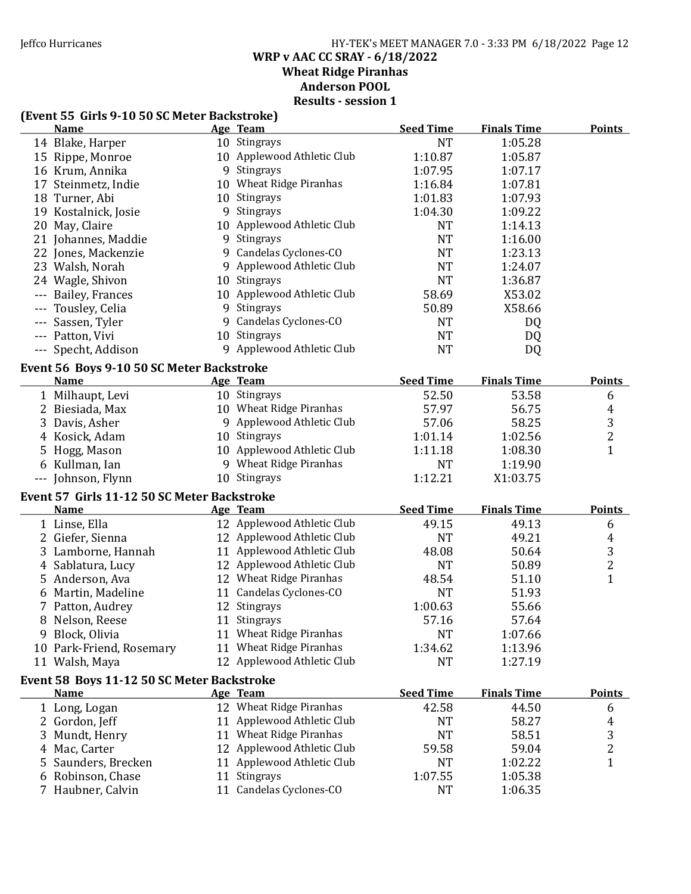#### Jeffco Hurricanes HY-TEK's MEET MANAGER 7.0 - 3:33 PM 6/18/2022 Page 12 WRP v AAC CC SRAY - 6/18/2022 Wheat Ridge Piranhas Anderson POOL Results - session 1

### (Event 55 Girls 9-10 50 SC Meter Backstroke)

| (EVENT JJ ANIS J-10 JO JG METER DACKSTROKE)<br><u>Name</u> | Age Team                   | <b>Seed Time</b>     | <b>Finals Time</b> | <b>Points</b>           |
|------------------------------------------------------------|----------------------------|----------------------|--------------------|-------------------------|
| 14 Blake, Harper                                           | 10 Stingrays               | <b>NT</b>            | 1:05.28            |                         |
| 15 Rippe, Monroe                                           | 10 Applewood Athletic Club | 1:10.87              | 1:05.87            |                         |
| 16 Krum, Annika                                            | 9 Stingrays                | 1:07.95              | 1:07.17            |                         |
| 17 Steinmetz, Indie                                        | 10 Wheat Ridge Piranhas    | 1:16.84              | 1:07.81            |                         |
|                                                            | 10 Stingrays               | 1:01.83              |                    |                         |
| 18 Turner, Abi                                             | 9 Stingrays                |                      | 1:07.93            |                         |
| 19 Kostalnick, Josie                                       |                            | 1:04.30              | 1:09.22            |                         |
| 20 May, Claire                                             | 10 Applewood Athletic Club | <b>NT</b>            | 1:14.13            |                         |
| 21 Johannes, Maddie                                        | 9 Stingrays                | <b>NT</b>            | 1:16.00            |                         |
| 22 Jones, Mackenzie                                        | 9 Candelas Cyclones-CO     | <b>NT</b>            | 1:23.13            |                         |
| 23 Walsh, Norah                                            | 9 Applewood Athletic Club  | <b>NT</b>            | 1:24.07            |                         |
| 24 Wagle, Shivon                                           | 10 Stingrays               | <b>NT</b>            | 1:36.87            |                         |
| --- Bailey, Frances                                        | 10 Applewood Athletic Club | 58.69                | X53.02             |                         |
| Tousley, Celia                                             | 9 Stingrays                | 50.89                | X58.66             |                         |
| --- Sassen, Tyler                                          | 9 Candelas Cyclones-CO     | <b>NT</b>            | DQ                 |                         |
| --- Patton, Vivi                                           | 10 Stingrays               | <b>NT</b>            | DQ                 |                         |
| --- Specht, Addison                                        | 9 Applewood Athletic Club  | <b>NT</b>            | DQ                 |                         |
| Event 56 Boys 9-10 50 SC Meter Backstroke                  |                            |                      |                    |                         |
| <b>Name</b>                                                | Age Team                   | <b>Seed Time</b>     | <b>Finals Time</b> | <b>Points</b>           |
| 1 Milhaupt, Levi                                           | 10 Stingrays               | 52.50                | 53.58              | 6                       |
| 2 Biesiada, Max                                            | 10 Wheat Ridge Piranhas    | 57.97                | 56.75              | $\overline{4}$          |
| 3 Davis, Asher                                             | 9 Applewood Athletic Club  | 57.06                | 58.25              | 3                       |
| 4 Kosick, Adam                                             | 10 Stingrays               | 1:01.14              | 1:02.56            | $\overline{2}$          |
| 5 Hogg, Mason                                              | 10 Applewood Athletic Club | 1:11.18              | 1:08.30            | $\mathbf{1}$            |
| 6 Kullman, Ian                                             | 9 Wheat Ridge Piranhas     | <b>NT</b>            | 1:19.90            |                         |
| --- Johnson, Flynn                                         | 10 Stingrays               | 1:12.21              | X1:03.75           |                         |
|                                                            |                            |                      |                    |                         |
| Event 57 Girls 11-12 50 SC Meter Backstroke                |                            |                      |                    |                         |
| <b>Name</b>                                                | Age Team                   | <b>Seed Time</b>     | <b>Finals Time</b> | <b>Points</b>           |
| 1 Linse, Ella                                              | 12 Applewood Athletic Club | 49.15                | 49.13              | 6                       |
| 2 Giefer, Sienna                                           | 12 Applewood Athletic Club | <b>NT</b>            | 49.21              | $\overline{4}$          |
| 3 Lamborne, Hannah                                         | 11 Applewood Athletic Club | 48.08                | 50.64              | 3                       |
| 4 Sablatura, Lucy                                          | 12 Applewood Athletic Club | <b>NT</b>            | 50.89              | $\overline{2}$          |
| 5 Anderson, Ava                                            | 12 Wheat Ridge Piranhas    | 48.54                | 51.10              | $\mathbf{1}$            |
| 6 Martin, Madeline                                         | 11 Candelas Cyclones-CO    | <b>NT</b>            | 51.93              |                         |
| 7 Patton, Audrey                                           | 12 Stingrays               | 1:00.63              | 55.66              |                         |
| 8 Nelson, Reese                                            | 11 Stingrays               | 57.16                | 57.64              |                         |
| 9 Block, Olivia                                            | 11 Wheat Ridge Piranhas    | <b>NT</b>            | 1:07.66            |                         |
| 10 Park-Friend, Rosemary                                   | 11 Wheat Ridge Piranhas    | 1:34.62              | 1:13.96            |                         |
| 11 Walsh, Maya                                             | 12 Applewood Athletic Club | <b>NT</b>            | 1:27.19            |                         |
| Event 58 Boys 11-12 50 SC Meter Backstroke                 |                            |                      |                    |                         |
| <u>Name</u>                                                | Age Team                   | <b>Seed Time</b>     | <b>Finals Time</b> | <b>Points</b>           |
| 1 Long, Logan                                              | 12 Wheat Ridge Piranhas    | 42.58                | 44.50              | 6                       |
| 2 Gordon, Jeff                                             | 11 Applewood Athletic Club | NT                   | 58.27              | 4                       |
| 3 Mundt, Henry                                             | 11 Wheat Ridge Piranhas    | <b>NT</b>            | 58.51              | 3                       |
| 4 Mac, Carter                                              | 12 Applewood Athletic Club | 59.58                | 59.04              | $\overline{\mathbf{c}}$ |
|                                                            | 11 Applewood Athletic Club |                      |                    | $\mathbf{1}$            |
| 5 Saunders, Brecken                                        | 11 Stingrays               | <b>NT</b><br>1:07.55 | 1:02.22            |                         |
| 6 Robinson, Chase                                          | 11 Candelas Cyclones-CO    |                      | 1:05.38            |                         |
| 7 Haubner, Calvin                                          |                            | NT                   | 1:06.35            |                         |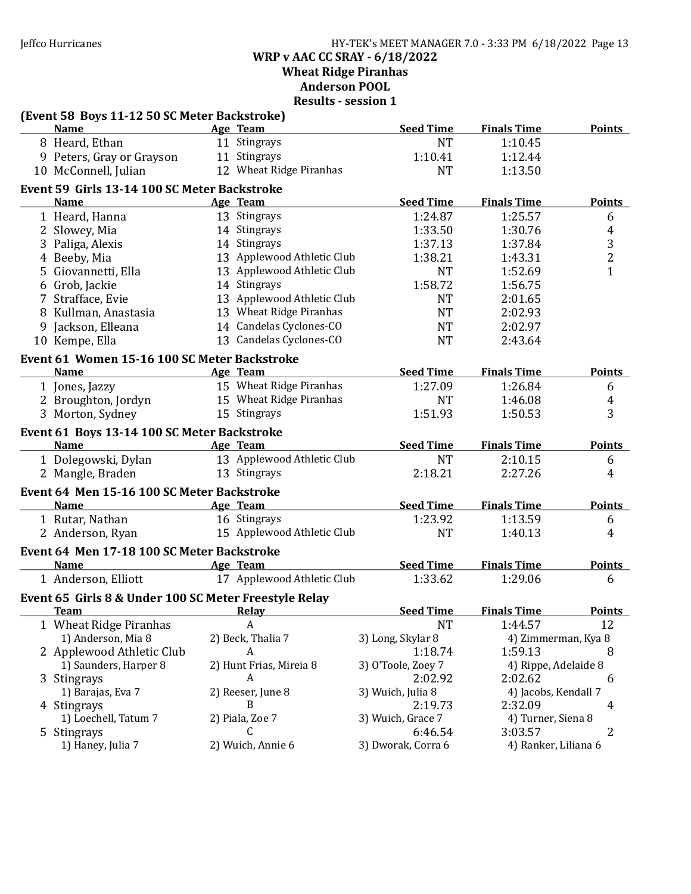Jeffco Hurricanes HY-TEK's MEET MANAGER 7.0 - 3:33 PM 6/18/2022 Page 13 WRP v AAC CC SRAY - 6/18/2022

Wheat Ridge Piranhas

Anderson POOL

| (Event 58 Boys 11-12 50 SC Meter Backstroke)          |                            |                               |                                 |                |
|-------------------------------------------------------|----------------------------|-------------------------------|---------------------------------|----------------|
| <b>Name</b>                                           | Age Team                   | <b>Seed Time</b>              | <b>Finals Time</b>              | <b>Points</b>  |
| 8 Heard, Ethan                                        | 11 Stingrays               | <b>NT</b>                     | 1:10.45                         |                |
| 9 Peters, Gray or Grayson                             | 11 Stingrays               | 1:10.41                       | 1:12.44                         |                |
| 10 McConnell, Julian                                  | 12 Wheat Ridge Piranhas    | <b>NT</b>                     | 1:13.50                         |                |
| Event 59 Girls 13-14 100 SC Meter Backstroke          |                            |                               |                                 |                |
| <b>Name</b>                                           | Age Team                   | <b>Seed Time</b>              | <b>Finals Time</b>              | <b>Points</b>  |
| 1 Heard, Hanna                                        | 13 Stingrays               | 1:24.87                       | 1:25.57                         | 6              |
| 2 Slowey, Mia                                         | 14 Stingrays               | 1:33.50                       | 1:30.76                         | 4              |
| 3 Paliga, Alexis                                      | 14 Stingrays               | 1:37.13                       | 1:37.84                         | 3              |
| 4 Beeby, Mia                                          | 13 Applewood Athletic Club | 1:38.21                       | 1:43.31                         | $\overline{2}$ |
| 5 Giovannetti, Ella                                   | 13 Applewood Athletic Club | <b>NT</b>                     | 1:52.69                         | $\mathbf{1}$   |
| 6 Grob, Jackie                                        | 14 Stingrays               | 1:58.72                       | 1:56.75                         |                |
| 7 Strafface, Evie                                     | 13 Applewood Athletic Club | <b>NT</b>                     | 2:01.65                         |                |
| 8 Kullman, Anastasia                                  | 13 Wheat Ridge Piranhas    | <b>NT</b>                     | 2:02.93                         |                |
| 9 Jackson, Elleana                                    | 14 Candelas Cyclones-CO    | <b>NT</b>                     | 2:02.97                         |                |
| 10 Kempe, Ella                                        | 13 Candelas Cyclones-CO    | <b>NT</b>                     | 2:43.64                         |                |
| Event 61 Women 15-16 100 SC Meter Backstroke          |                            |                               |                                 |                |
| <b>Name</b>                                           | Age Team                   | <b>Seed Time</b>              | <b>Finals Time</b>              | <b>Points</b>  |
| 1 Jones, Jazzy                                        | 15 Wheat Ridge Piranhas    | 1:27.09                       | 1:26.84                         | 6              |
| 2 Broughton, Jordyn                                   | 15 Wheat Ridge Piranhas    | <b>NT</b>                     | 1:46.08                         | 4              |
| 3 Morton, Sydney                                      | 15 Stingrays               | 1:51.93                       | 1:50.53                         | 3              |
| Event 61 Boys 13-14 100 SC Meter Backstroke           |                            |                               |                                 |                |
| <b>Name</b>                                           | Age Team                   | <b>Seed Time</b>              | <b>Finals Time</b>              | <b>Points</b>  |
| 1 Dolegowski, Dylan                                   | 13 Applewood Athletic Club | <b>NT</b>                     | 2:10.15                         | 6              |
| 2 Mangle, Braden                                      | 13 Stingrays               | 2:18.21                       | 2:27.26                         | 4              |
| Event 64 Men 15-16 100 SC Meter Backstroke            |                            |                               |                                 |                |
| <b>Name</b>                                           | Age Team                   | <b>Seed Time</b>              | <b>Finals Time</b>              | <b>Points</b>  |
| 1 Rutar, Nathan                                       | 16 Stingrays               | 1:23.92                       | 1:13.59                         | 6              |
| 2 Anderson, Ryan                                      | 15 Applewood Athletic Club | <b>NT</b>                     | 1:40.13                         | 4              |
|                                                       |                            |                               |                                 |                |
| Event 64 Men 17-18 100 SC Meter Backstroke            |                            |                               |                                 |                |
| <b>Name</b>                                           | Age Team                   | <b>Seed Time</b>              | <b>Finals Time</b>              | <b>Points</b>  |
| 1 Anderson, Elliott                                   | 17 Applewood Athletic Club | 1:33.62                       | 1:29.06                         | 6              |
| Event 65 Girls 8 & Under 100 SC Meter Freestyle Relay |                            |                               |                                 |                |
| <b>Team</b>                                           | Relay                      | <b>Seed Time</b>              | <b>Finals Time</b>              | <b>Points</b>  |
| 1 Wheat Ridge Piranhas                                | $\boldsymbol{A}$           | <b>NT</b>                     | 1:44.57                         | 12             |
| 1) Anderson, Mia 8                                    | 2) Beck, Thalia 7          | 3) Long, Skylar 8             | 4) Zimmerman, Kya 8             |                |
| 2 Applewood Athletic Club                             | A                          | 1:18.74                       | 1:59.13                         | 8              |
| 1) Saunders, Harper 8                                 | 2) Hunt Frias, Mireia 8    | 3) O'Toole, Zoey 7            | 4) Rippe, Adelaide 8            |                |
| 3 Stingrays                                           | A                          | 2:02.92                       | 2:02.62                         | 6              |
| 1) Barajas, Eva 7                                     | 2) Reeser, June 8          | 3) Wuich, Julia 8             | 4) Jacobs, Kendall 7            |                |
| 4 Stingrays                                           | B                          | 2:19.73                       | 2:32.09                         | 4              |
| 1) Loechell, Tatum 7                                  | 2) Piala, Zoe 7<br>C       | 3) Wuich, Grace 7             | 4) Turner, Siena 8              |                |
| 5 Stingrays<br>1) Haney, Julia 7                      | 2) Wuich, Annie 6          | 6:46.54<br>3) Dworak, Corra 6 | 3:03.57<br>4) Ranker, Liliana 6 | 2              |
|                                                       |                            |                               |                                 |                |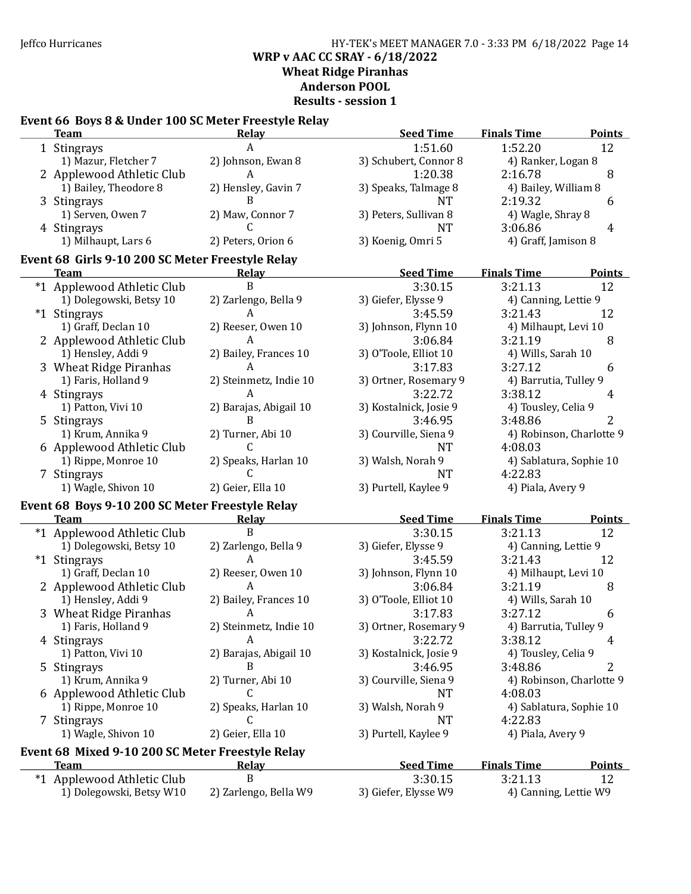### Jeffco Hurricanes HY-TEK's MEET MANAGER 7.0 - 3:33 PM 6/18/2022 Page 14 WRP v AAC CC SRAY - 6/18/2022 Wheat Ridge Piranhas Anderson POOL Results - session 1

# Event 66 Boys 8 & Under 100 SC Meter Freestyle Relay

| <b>Team</b>                                      | <b>Relay</b>           | <b>Seed Time</b>       | <b>Finals Time</b><br><b>Points</b> |
|--------------------------------------------------|------------------------|------------------------|-------------------------------------|
| 1 Stingrays                                      | A                      | 1:51.60                | 1:52.20<br>12                       |
| 1) Mazur, Fletcher 7                             | 2) Johnson, Ewan 8     | 3) Schubert, Connor 8  | 4) Ranker, Logan 8                  |
| 2 Applewood Athletic Club                        | A                      | 1:20.38                | 8<br>2:16.78                        |
| 1) Bailey, Theodore 8                            | 2) Hensley, Gavin 7    | 3) Speaks, Talmage 8   | 4) Bailey, William 8                |
| 3 Stingrays                                      | B                      | <b>NT</b>              | 2:19.32<br>6                        |
| 1) Serven, Owen 7                                | 2) Maw, Connor 7       | 3) Peters, Sullivan 8  | 4) Wagle, Shray 8                   |
| 4 Stingrays                                      |                        | <b>NT</b>              | 3:06.86<br>4                        |
| 1) Milhaupt, Lars 6                              | 2) Peters, Orion 6     | 3) Koenig, Omri 5      | 4) Graff, Jamison 8                 |
| Event 68 Girls 9-10 200 SC Meter Freestyle Relay |                        |                        |                                     |
| <b>Team</b>                                      | Relay                  | <b>Seed Time</b>       | <b>Finals Time</b><br><b>Points</b> |
| *1 Applewood Athletic Club                       | B                      | 3:30.15                | 3:21.13<br>12                       |
| 1) Dolegowski, Betsy 10                          | 2) Zarlengo, Bella 9   | 3) Giefer, Elysse 9    | 4) Canning, Lettie 9                |
| *1 Stingrays                                     | A                      | 3:45.59                | 3:21.43<br>12                       |
| 1) Graff, Declan 10                              | 2) Reeser, Owen 10     | 3) Johnson, Flynn 10   | 4) Milhaupt, Levi 10                |
| 2 Applewood Athletic Club                        | A                      | 3:06.84                | 3:21.19<br>8                        |
| 1) Hensley, Addi 9                               | 2) Bailey, Frances 10  | 3) O'Toole, Elliot 10  | 4) Wills, Sarah 10                  |
| 3 Wheat Ridge Piranhas                           | A                      | 3:17.83                | 3:27.12<br>6                        |
| 1) Faris, Holland 9                              | 2) Steinmetz, Indie 10 | 3) Ortner, Rosemary 9  | 4) Barrutia, Tulley 9               |
| 4 Stingrays                                      | A                      | 3:22.72                | 3:38.12<br>4                        |
| 1) Patton, Vivi 10                               | 2) Barajas, Abigail 10 | 3) Kostalnick, Josie 9 | 4) Tousley, Celia 9                 |
| 5 Stingrays                                      | B                      | 3:46.95                | 2<br>3:48.86                        |
| 1) Krum, Annika 9                                | 2) Turner, Abi 10      | 3) Courville, Siena 9  | 4) Robinson, Charlotte 9            |
| 6 Applewood Athletic Club                        | C                      | <b>NT</b>              | 4:08.03                             |
| 1) Rippe, Monroe 10                              | 2) Speaks, Harlan 10   | 3) Walsh, Norah 9      | 4) Sablatura, Sophie 10             |
| 7 Stingrays                                      | C                      | <b>NT</b>              | 4:22.83                             |
| 1) Wagle, Shivon 10                              | 2) Geier, Ella 10      | 3) Purtell, Kaylee 9   | 4) Piala, Avery 9                   |
| Event 68 Boys 9-10 200 SC Meter Freestyle Relay  |                        |                        |                                     |
| <b>Team</b>                                      | <b>Relay</b>           | <b>Seed Time</b>       | <b>Finals Time</b><br><b>Points</b> |
| *1 Applewood Athletic Club                       | B                      | 3:30.15                | 12<br>3:21.13                       |
| 1) Dolegowski, Betsy 10                          | 2) Zarlengo, Bella 9   | 3) Giefer, Elysse 9    | 4) Canning, Lettie 9                |
| *1 Stingrays                                     | A                      | 3:45.59                | 3:21.43<br>12                       |
| 1) Graff, Declan 10                              | 2) Reeser, Owen 10     | 3) Johnson, Flynn 10   | 4) Milhaupt, Levi 10                |
| 2 Applewood Athletic Club                        | A                      | 3:06.84                | 3:21.19<br>8                        |
| 1) Hensley, Addi 9                               | 2) Bailey, Frances 10  | 3) O'Toole, Elliot 10  | 4) Wills, Sarah 10                  |
| 3 Wheat Ridge Piranhas                           | A                      | 3:17.83                | 3:27.12<br>6                        |
| 1) Faris, Holland 9                              | 2) Steinmetz, Indie 10 | 3) Ortner, Rosemary 9  | 4) Barrutia, Tulley 9               |
| 4 Stingrays                                      | A                      | 3:22.72                | 3:38.12<br>4                        |
| 1) Patton, Vivi 10                               | 2) Barajas, Abigail 10 | 3) Kostalnick, Josie 9 | 4) Tousley, Celia 9                 |
| 5 Stingrays                                      | B                      | 3:46.95                | 3:48.86<br>2                        |
| 1) Krum, Annika 9                                | 2) Turner, Abi 10      | 3) Courville, Siena 9  | 4) Robinson, Charlotte 9            |
| 6 Applewood Athletic Club                        | C                      | <b>NT</b>              | 4:08.03                             |
| 1) Rippe, Monroe 10                              | 2) Speaks, Harlan 10   | 3) Walsh, Norah 9      | 4) Sablatura, Sophie 10             |
| 7 Stingrays                                      | C                      | NT                     | 4:22.83                             |
| 1) Wagle, Shivon 10                              | 2) Geier, Ella 10      | 3) Purtell, Kaylee 9   | 4) Piala, Avery 9                   |
| Event 68 Mixed 9-10 200 SC Meter Freestyle Relay |                        |                        |                                     |
| <b>Team</b>                                      | <b>Relay</b>           | <b>Seed Time</b>       | <b>Finals Time</b><br><b>Points</b> |
| *1 Applewood Athletic Club                       | B                      | 3:30.15                | 3:21.13<br>12                       |
| 1) Dolegowski, Betsy W10                         | 2) Zarlengo, Bella W9  | 3) Giefer, Elysse W9   | 4) Canning, Lettie W9               |
|                                                  |                        |                        |                                     |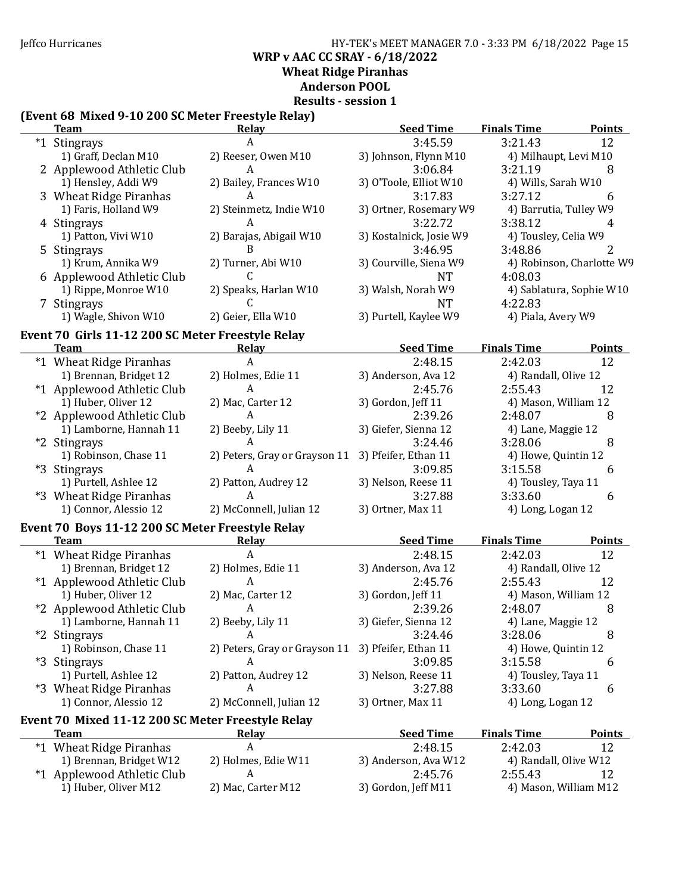#### Jeffco Hurricanes HY-TEK's MEET MANAGER 7.0 - 3:33 PM 6/18/2022 Page 15 WRP v AAC CC SRAY - 6/18/2022 Wheat Ridge Piranhas Anderson POOL Results - session 1

#### (Event 68 Mixed 9-10 200 SC Meter Freestyle Relay)

| <b>Team</b>                                       | <b>Relay</b>                  | <b>Seed Time</b>        | <b>Finals Time</b>        | <b>Points</b> |
|---------------------------------------------------|-------------------------------|-------------------------|---------------------------|---------------|
| *1 Stingrays                                      | A                             | 3:45.59                 | 3:21.43                   | 12            |
| 1) Graff, Declan M10                              | 2) Reeser, Owen M10           | 3) Johnson, Flynn M10   | 4) Milhaupt, Levi M10     |               |
| 2 Applewood Athletic Club                         | A                             | 3:06.84                 | 3:21.19                   | 8             |
| 1) Hensley, Addi W9                               | 2) Bailey, Frances W10        | 3) O'Toole, Elliot W10  | 4) Wills, Sarah W10       |               |
| 3 Wheat Ridge Piranhas                            | A                             | 3:17.83                 | 3:27.12                   | 6             |
| 1) Faris, Holland W9                              | 2) Steinmetz, Indie W10       | 3) Ortner, Rosemary W9  | 4) Barrutia, Tulley W9    |               |
| 4 Stingrays                                       | A                             | 3:22.72                 | 3:38.12                   | 4             |
| 1) Patton, Vivi W10                               | 2) Barajas, Abigail W10       | 3) Kostalnick, Josie W9 | 4) Tousley, Celia W9      |               |
| 5 Stingrays                                       | B                             | 3:46.95                 | 3:48.86                   | 2             |
| 1) Krum, Annika W9                                | 2) Turner, Abi W10            | 3) Courville, Siena W9  | 4) Robinson, Charlotte W9 |               |
| 6 Applewood Athletic Club                         | C                             | <b>NT</b>               | 4:08.03                   |               |
| 1) Rippe, Monroe W10                              | 2) Speaks, Harlan W10         | 3) Walsh, Norah W9      | 4) Sablatura, Sophie W10  |               |
| 7 Stingrays                                       | C                             | <b>NT</b>               | 4:22.83                   |               |
| 1) Wagle, Shivon W10                              | 2) Geier, Ella W10            | 3) Purtell, Kaylee W9   | 4) Piala, Avery W9        |               |
| Event 70 Girls 11-12 200 SC Meter Freestyle Relay |                               |                         |                           |               |
| <b>Team</b>                                       | Relay                         | <b>Seed Time</b>        | <b>Finals Time</b>        | <b>Points</b> |
| *1 Wheat Ridge Piranhas                           | $\overline{A}$                | 2:48.15                 | 2:42.03                   | 12            |
| 1) Brennan, Bridget 12                            | 2) Holmes, Edie 11            | 3) Anderson, Ava 12     | 4) Randall, Olive 12      |               |
| *1 Applewood Athletic Club                        | A                             | 2:45.76                 | 2:55.43                   | 12            |
| 1) Huber, Oliver 12                               | 2) Mac, Carter 12             | 3) Gordon, Jeff 11      | 4) Mason, William 12      |               |
| *2 Applewood Athletic Club                        | A                             | 2:39.26                 | 2:48.07                   | 8             |
| 1) Lamborne, Hannah 11                            | 2) Beeby, Lily 11             | 3) Giefer, Sienna 12    | 4) Lane, Maggie 12        |               |
| *2 Stingrays                                      |                               | 3:24.46                 | 3:28.06                   | 8             |
| 1) Robinson, Chase 11                             | 2) Peters, Gray or Grayson 11 | 3) Pfeifer, Ethan 11    | 4) Howe, Quintin 12       |               |
| *3 Stingrays                                      |                               | 3:09.85                 | 3:15.58                   | 6             |
| 1) Purtell, Ashlee 12                             | 2) Patton, Audrey 12          | 3) Nelson, Reese 11     | 4) Tousley, Taya 11       |               |
| *3 Wheat Ridge Piranhas                           | A                             | 3:27.88                 | 3:33.60                   | 6             |
| 1) Connor, Alessio 12                             | 2) McConnell, Julian 12       | 3) Ortner, Max 11       | 4) Long, Logan 12         |               |
| Event 70 Boys 11-12 200 SC Meter Freestyle Relay  |                               |                         |                           |               |
| <b>Team</b>                                       | <b>Relay</b>                  | <b>Seed Time</b>        | <b>Finals Time</b>        | <b>Points</b> |
| *1 Wheat Ridge Piranhas                           | $\boldsymbol{A}$              | 2:48.15                 | 2:42.03                   | 12            |
| 1) Brennan, Bridget 12                            | 2) Holmes, Edie 11            | 3) Anderson, Ava 12     | 4) Randall, Olive 12      |               |
| *1 Applewood Athletic Club                        | $\boldsymbol{A}$              | 2:45.76                 | 2:55.43                   | 12            |
| 1) Huber, Oliver 12                               | 2) Mac, Carter 12             | 3) Gordon, Jeff 11      | 4) Mason, William 12      |               |
| *2 Applewood Athletic Club                        | A                             | 2:39.26                 | 2:48.07                   | 8             |
| 1) Lamborne, Hannah 11                            | 2) Beeby, Lily 11             | 3) Giefer, Sienna 12    | 4) Lane, Maggie 12        |               |
| *2 Stingrays                                      | A                             | 3:24.46                 | 3:28.06                   | 8             |
| 1) Robinson, Chase 11                             | 2) Peters, Gray or Grayson 11 | 3) Pfeifer, Ethan 11    | 4) Howe, Quintin 12       |               |
| *3 Stingrays                                      | A                             | 3:09.85                 | 3:15.58                   | 6             |
| 1) Purtell, Ashlee 12                             | 2) Patton, Audrey 12          | 3) Nelson, Reese 11     | 4) Tousley, Taya 11       |               |
| *3 Wheat Ridge Piranhas                           | A                             | 3:27.88                 | 3:33.60                   | 6             |
| 1) Connor, Alessio 12                             | 2) McConnell, Julian 12       | 3) Ortner, Max 11       | 4) Long, Logan 12         |               |
| Event 70 Mixed 11-12 200 SC Meter Freestyle Relay |                               |                         |                           |               |
| <b>Team</b>                                       | <b>Relay</b>                  | <b>Seed Time</b>        | <b>Finals Time</b>        | <b>Points</b> |
| *1 Wheat Ridge Piranhas                           | A                             | 2:48.15                 | 2:42.03                   | 12            |
| 1) Brennan, Bridget W12                           | 2) Holmes, Edie W11           | 3) Anderson, Ava W12    | 4) Randall, Olive W12     |               |
| *1 Applewood Athletic Club                        | A                             | 2:45.76                 | 2:55.43                   | 12            |
| 1) Huber, Oliver M12                              | 2) Mac, Carter M12            | 3) Gordon, Jeff M11     | 4) Mason, William M12     |               |
|                                                   |                               |                         |                           |               |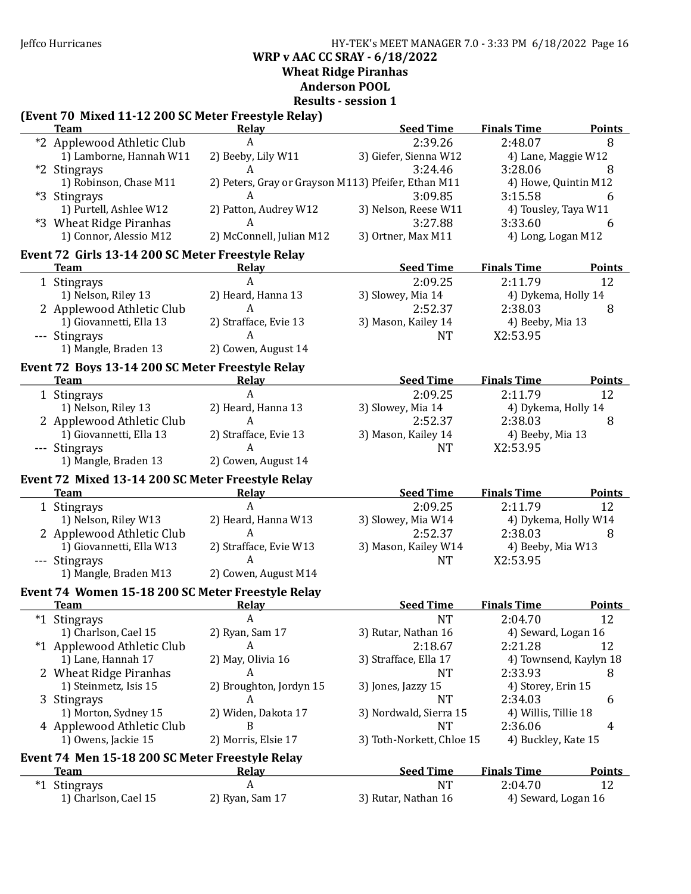Jeffco Hurricanes HY-TEK's MEET MANAGER 7.0 - 3:33 PM 6/18/2022 Page 16 WRP v AAC CC SRAY - 6/18/2022 Wheat Ridge Piranhas Anderson POOL

Results - session 1

# (Event 70 Mixed 11-12 200 SC Meter Freestyle Relay)

| <b>Team</b>                                                                | Relay                                               | <b>Seed Time</b>          | <b>Finals Time</b>             | <b>Points</b>          |
|----------------------------------------------------------------------------|-----------------------------------------------------|---------------------------|--------------------------------|------------------------|
| *2 Applewood Athletic Club                                                 | A                                                   | 2:39.26                   | 2:48.07                        | 8                      |
| 1) Lamborne, Hannah W11                                                    | 2) Beeby, Lily W11                                  | 3) Giefer, Sienna W12     | 4) Lane, Maggie W12            |                        |
| *2 Stingrays                                                               | A                                                   | 3:24.46                   | 3:28.06                        | 8                      |
| 1) Robinson, Chase M11                                                     | 2) Peters, Gray or Grayson M113) Pfeifer, Ethan M11 |                           | 4) Howe, Quintin M12           |                        |
| *3 Stingrays                                                               | A                                                   | 3:09.85                   | 3:15.58                        | 6                      |
| 1) Purtell, Ashlee W12                                                     | 2) Patton, Audrey W12                               | 3) Nelson, Reese W11      | 4) Tousley, Taya W11           |                        |
| *3 Wheat Ridge Piranhas                                                    | A                                                   | 3:27.88                   | 3:33.60                        | 6                      |
| 1) Connor, Alessio M12                                                     | 2) McConnell, Julian M12                            | 3) Ortner, Max M11        | 4) Long, Logan M12             |                        |
| Event 72 Girls 13-14 200 SC Meter Freestyle Relay                          |                                                     |                           |                                |                        |
| <b>Team</b>                                                                | <b>Relay</b>                                        | <b>Seed Time</b>          | <b>Finals Time</b>             | <b>Points</b>          |
| 1 Stingrays                                                                | A                                                   | 2:09.25                   | 2:11.79                        | 12                     |
| 1) Nelson, Riley 13                                                        | 2) Heard, Hanna 13                                  | 3) Slowey, Mia 14         | 4) Dykema, Holly 14            |                        |
| 2 Applewood Athletic Club                                                  | A                                                   | 2:52.37                   | 2:38.03                        | 8                      |
| 1) Giovannetti, Ella 13                                                    | 2) Strafface, Evie 13                               | 3) Mason, Kailey 14       | 4) Beeby, Mia 13               |                        |
| --- Stingrays                                                              | A                                                   | NT                        | X2:53.95                       |                        |
| 1) Mangle, Braden 13                                                       | 2) Cowen, August 14                                 |                           |                                |                        |
| Event 72 Boys 13-14 200 SC Meter Freestyle Relay                           |                                                     |                           |                                |                        |
| <b>Team</b><br>the control of the control of the control of the control of | <b>Relay</b>                                        | <b>Seed Time</b>          | <b>Finals Time</b>             | <b>Points</b>          |
| 1 Stingrays                                                                | A                                                   | 2:09.25                   | 2:11.79                        | 12                     |
| 1) Nelson, Riley 13                                                        | 2) Heard, Hanna 13                                  | 3) Slowey, Mia 14         | 4) Dykema, Holly 14            |                        |
| 2 Applewood Athletic Club                                                  | A                                                   | 2:52.37                   | 2:38.03                        | 8                      |
| 1) Giovannetti, Ella 13                                                    | 2) Strafface, Evie 13                               | 3) Mason, Kailey 14       | 4) Beeby, Mia 13               |                        |
| --- Stingrays                                                              | A                                                   | <b>NT</b>                 | X2:53.95                       |                        |
| 1) Mangle, Braden 13                                                       | 2) Cowen, August 14                                 |                           |                                |                        |
|                                                                            |                                                     |                           |                                |                        |
|                                                                            |                                                     |                           |                                |                        |
| Event 72 Mixed 13-14 200 SC Meter Freestyle Relay<br><b>Team</b>           | <b>Relay</b>                                        | <b>Seed Time</b>          | <b>Finals Time</b>             | <b>Points</b>          |
| 1 Stingrays                                                                | $\mathbf{A}$                                        | 2:09.25                   | 2:11.79                        | 12                     |
| 1) Nelson, Riley W13                                                       | 2) Heard, Hanna W13                                 | 3) Slowey, Mia W14        | 4) Dykema, Holly W14           |                        |
|                                                                            | A                                                   | 2:52.37                   | 2:38.03                        | 8                      |
| 2 Applewood Athletic Club<br>1) Giovannetti, Ella W13                      | 2) Strafface, Evie W13                              | 3) Mason, Kailey W14      | 4) Beeby, Mia W13              |                        |
| --- Stingrays                                                              | A                                                   | <b>NT</b>                 | X2:53.95                       |                        |
| 1) Mangle, Braden M13                                                      | 2) Cowen, August M14                                |                           |                                |                        |
|                                                                            |                                                     |                           |                                |                        |
| Event 74 Women 15-18 200 SC Meter Freestyle Relay<br><b>Team</b>           |                                                     | <b>Seed Time</b>          | <b>Finals Time</b>             | <b>Points</b>          |
|                                                                            | Relay<br>A                                          |                           |                                |                        |
| *1 Stingrays                                                               |                                                     | <b>NT</b>                 | 2:04.70                        | 12                     |
| 1) Charlson, Cael 15                                                       | 2) Ryan, Sam 17<br>A                                | 3) Rutar, Nathan 16       | 4) Seward, Logan 16            |                        |
| *1 Applewood Athletic Club                                                 |                                                     | 2:18.67                   | 2:21.28                        | 12                     |
| 1) Lane, Hannah 17                                                         | 2) May, Olivia 16<br>A                              | 3) Strafface, Ella 17     |                                | 4) Townsend, Kaylyn 18 |
| 2 Wheat Ridge Piranhas                                                     |                                                     | NT                        | 2:33.93                        | 8                      |
| 1) Steinmetz, Isis 15                                                      | 2) Broughton, Jordyn 15                             | 3) Jones, Jazzy 15        | 4) Storey, Erin 15             |                        |
| 3 Stingrays                                                                | A                                                   | NT                        | 2:34.03                        | 6                      |
| 1) Morton, Sydney 15                                                       | 2) Widen, Dakota 17                                 | 3) Nordwald, Sierra 15    | 4) Willis, Tillie 18           |                        |
| 4 Applewood Athletic Club                                                  | B                                                   | NT                        | 2:36.06                        | 4                      |
| 1) Owens, Jackie 15                                                        | 2) Morris, Elsie 17                                 | 3) Toth-Norkett, Chloe 15 | 4) Buckley, Kate 15            |                        |
| Event 74 Men 15-18 200 SC Meter Freestyle Relay                            |                                                     |                           |                                |                        |
| <b>Team</b>                                                                | <b>Relay</b>                                        | <b>Seed Time</b>          | <b>Finals Time</b>             | <b>Points</b>          |
| *1 Stingrays<br>1) Charlson, Cael 15                                       | A<br>2) Ryan, Sam 17                                | NT<br>3) Rutar, Nathan 16 | 2:04.70<br>4) Seward, Logan 16 | 12                     |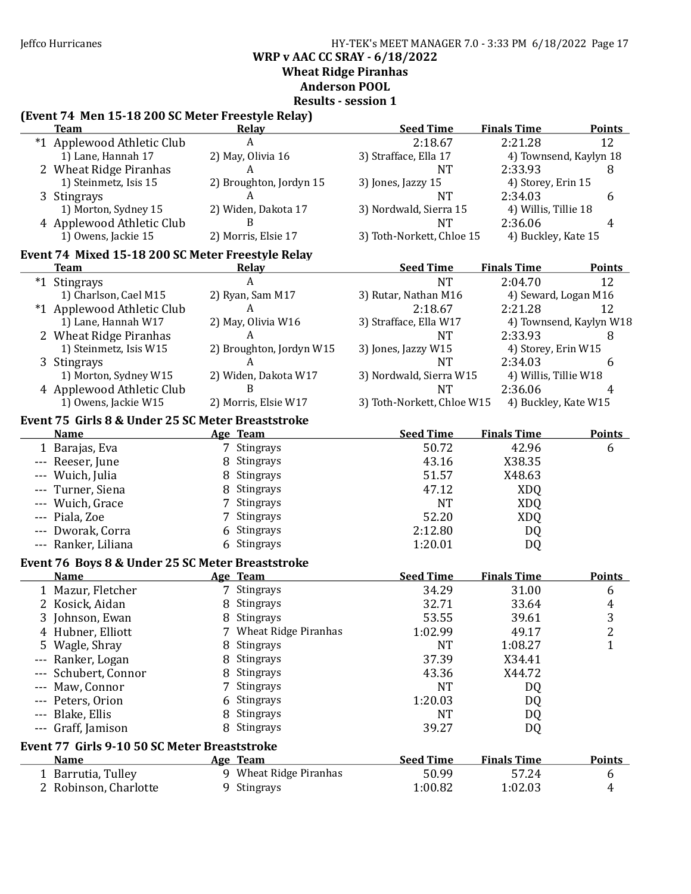Jeffco Hurricanes HY-TEK's MEET MANAGER 7.0 - 3:33 PM 6/18/2022 Page 17 WRP v AAC CC SRAY - 6/18/2022 Wheat Ridge Piranhas

### Anderson POOL

Results - session 1

# (Event 74 Men 15-18 200 SC Meter Freestyle Relay)

|     | <b>Team</b>                                                 | Relay                    | <b>Seed Time</b>           | <b>Finals Time</b>    | <b>Points</b>           |
|-----|-------------------------------------------------------------|--------------------------|----------------------------|-----------------------|-------------------------|
|     | *1 Applewood Athletic Club                                  | A                        | 2:18.67                    | 2:21.28               | 12                      |
|     | 1) Lane, Hannah 17                                          | 2) May, Olivia 16        | 3) Strafface, Ella 17      |                       | 4) Townsend, Kaylyn 18  |
|     | 2 Wheat Ridge Piranhas                                      | A                        | <b>NT</b>                  | 2:33.93               | 8                       |
|     | 1) Steinmetz, Isis 15                                       | 2) Broughton, Jordyn 15  | 3) Jones, Jazzy 15         | 4) Storey, Erin 15    |                         |
|     | 3 Stingrays                                                 | A                        | <b>NT</b>                  | 2:34.03               | 6                       |
|     | 1) Morton, Sydney 15                                        | 2) Widen, Dakota 17      | 3) Nordwald, Sierra 15     | 4) Willis, Tillie 18  |                         |
|     | 4 Applewood Athletic Club                                   | B                        | <b>NT</b>                  | 2:36.06               | 4                       |
|     | 1) Owens, Jackie 15                                         | 2) Morris, Elsie 17      | 3) Toth-Norkett, Chloe 15  | 4) Buckley, Kate 15   |                         |
|     | Event 74 Mixed 15-18 200 SC Meter Freestyle Relay           |                          |                            |                       |                         |
|     | <b>Team</b>                                                 | <b>Relay</b>             | <b>Seed Time</b>           | <b>Finals Time</b>    | <b>Points</b>           |
|     | *1 Stingrays                                                | Α                        | <b>NT</b>                  | 2:04.70               | 12                      |
|     | 1) Charlson, Cael M15                                       | 2) Ryan, Sam M17         | 3) Rutar, Nathan M16       | 4) Seward, Logan M16  |                         |
|     | *1 Applewood Athletic Club                                  | A                        | 2:18.67                    | 2:21.28               | 12                      |
|     | 1) Lane, Hannah W17                                         | 2) May, Olivia W16       | 3) Strafface, Ella W17     |                       | 4) Townsend, Kaylyn W18 |
|     | 2 Wheat Ridge Piranhas                                      | A                        | <b>NT</b>                  | 2:33.93               | 8                       |
|     | 1) Steinmetz, Isis W15                                      | 2) Broughton, Jordyn W15 | 3) Jones, Jazzy W15        | 4) Storey, Erin W15   |                         |
|     | 3 Stingrays                                                 | A                        | NT                         | 2:34.03               | 6                       |
|     | 1) Morton, Sydney W15                                       | 2) Widen, Dakota W17     | 3) Nordwald, Sierra W15    | 4) Willis, Tillie W18 |                         |
|     | 4 Applewood Athletic Club                                   | B                        | <b>NT</b>                  | 2:36.06               | 4                       |
|     | 1) Owens, Jackie W15                                        | 2) Morris, Elsie W17     | 3) Toth-Norkett, Chloe W15 | 4) Buckley, Kate W15  |                         |
|     | Event 75 Girls 8 & Under 25 SC Meter Breaststroke           |                          |                            |                       |                         |
|     | <b>Name</b>                                                 | Age Team                 | <b>Seed Time</b>           | <b>Finals Time</b>    | <b>Points</b>           |
|     | 1 Barajas, Eva                                              | 7 Stingrays              | 50.72                      | 42.96                 | 6                       |
|     | --- Reeser, June                                            | 8 Stingrays              | 43.16                      | X38.35                |                         |
|     | --- Wuich, Julia                                            | 8 Stingrays              | 51.57                      | X48.63                |                         |
|     | Turner, Siena                                               | 8 Stingrays              | 47.12                      | <b>XDQ</b>            |                         |
|     | Wuich, Grace                                                | 7 Stingrays              | <b>NT</b>                  | <b>XDQ</b>            |                         |
|     |                                                             |                          |                            |                       |                         |
|     | Piala, Zoe                                                  | 7 Stingrays              | 52.20                      | <b>XDQ</b>            |                         |
|     | Dworak, Corra                                               | 6 Stingrays              | 2:12.80                    | DQ                    |                         |
| --- | Ranker, Liliana                                             | 6 Stingrays              | 1:20.01                    | DQ                    |                         |
|     | Event 76 Boys 8 & Under 25 SC Meter Breaststroke            |                          |                            |                       |                         |
|     | <b>Name</b>                                                 | Age Team                 | <b>Seed Time</b>           | <b>Finals Time</b>    | <b>Points</b>           |
|     | 1 Mazur, Fletcher                                           | 7 Stingrays              | 34.29                      | 31.00                 | 6                       |
|     | 2 Kosick, Aidan                                             | 8 Stingrays              | 32.71                      | 33.64                 | 4                       |
|     | 3 Johnson, Ewan                                             | 8 Stingrays              | 53.55                      | 39.61                 | 3                       |
|     | 4 Hubner, Elliott                                           | 7 Wheat Ridge Piranhas   | 1:02.99                    | 49.17                 | $\overline{c}$          |
|     | 5 Wagle, Shray                                              | 8 Stingrays              | <b>NT</b>                  | 1:08.27               | $\mathbf 1$             |
|     | Ranker, Logan                                               | 8 Stingrays              | 37.39                      | X34.41                |                         |
|     | Schubert, Connor                                            | 8 Stingrays              | 43.36                      | X44.72                |                         |
|     | Maw, Connor                                                 | Stingrays<br>7           | <b>NT</b>                  | DQ                    |                         |
|     | Peters, Orion                                               | Stingrays                | 1:20.03                    | DQ                    |                         |
|     | Blake, Ellis                                                | Stingrays<br>8           | <b>NT</b>                  | DQ                    |                         |
| --- | Graff, Jamison                                              | 8 Stingrays              | 39.27                      | DQ                    |                         |
|     |                                                             |                          |                            |                       |                         |
|     | Event 77 Girls 9-10 50 SC Meter Breaststroke<br><b>Name</b> |                          | <b>Seed Time</b>           | <b>Finals Time</b>    |                         |
|     |                                                             | Age Team                 |                            |                       | <b>Points</b>           |
|     | 1 Barrutia, Tulley                                          | 9 Wheat Ridge Piranhas   | 50.99                      | 57.24                 | 6                       |
|     | 2 Robinson, Charlotte                                       | 9 Stingrays              | 1:00.82                    | 1:02.03               | 4                       |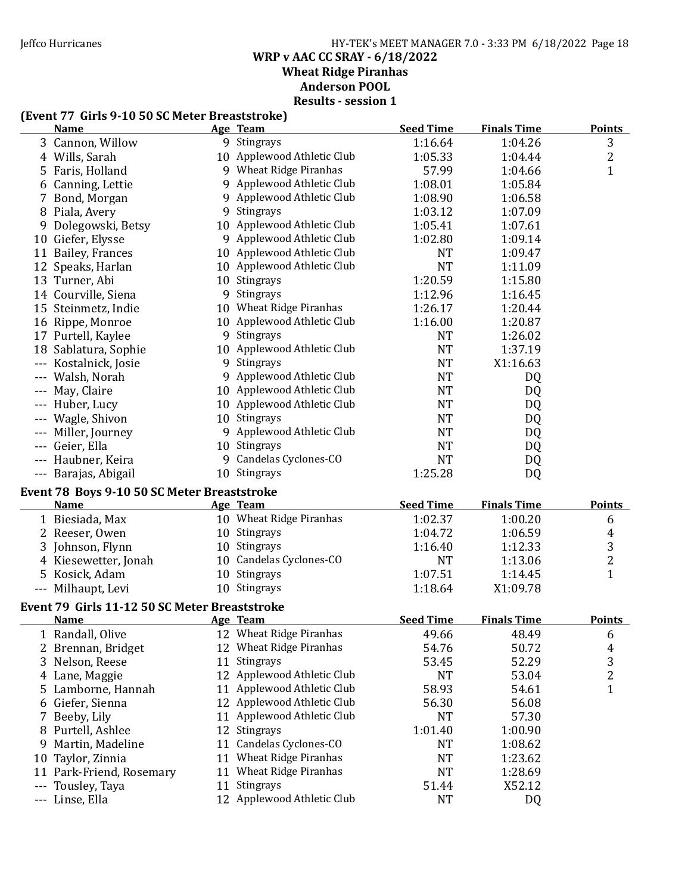### Jeffco Hurricanes HY-TEK's MEET MANAGER 7.0 - 3:33 PM 6/18/2022 Page 18 WRP v AAC CC SRAY - 6/18/2022 Wheat Ridge Piranhas Anderson POOL Results - session 1

# (Event 77 Girls 9-10 50 SC Meter Breaststroke)

|       | <b>Name</b>                                   |    | Age Team                   | <b>Seed Time</b> | <b>Finals Time</b> | <b>Points</b>  |
|-------|-----------------------------------------------|----|----------------------------|------------------|--------------------|----------------|
|       | 3 Cannon, Willow                              |    | 9 Stingrays                | 1:16.64          | 1:04.26            | 3              |
|       | 4 Wills, Sarah                                |    | 10 Applewood Athletic Club | 1:05.33          | 1:04.44            | $\overline{2}$ |
| 5     | Faris, Holland                                |    | 9 Wheat Ridge Piranhas     | 57.99            | 1:04.66            | $\mathbf{1}$   |
| 6     | Canning, Lettie                               |    | 9 Applewood Athletic Club  | 1:08.01          | 1:05.84            |                |
|       | 7 Bond, Morgan                                |    | 9 Applewood Athletic Club  | 1:08.90          | 1:06.58            |                |
|       | 8 Piala, Avery                                |    | 9 Stingrays                | 1:03.12          | 1:07.09            |                |
| 9     | Dolegowski, Betsy                             |    | 10 Applewood Athletic Club | 1:05.41          | 1:07.61            |                |
|       | 10 Giefer, Elysse                             |    | 9 Applewood Athletic Club  | 1:02.80          | 1:09.14            |                |
|       | 11 Bailey, Frances                            |    | 10 Applewood Athletic Club | <b>NT</b>        | 1:09.47            |                |
| 12    | Speaks, Harlan                                |    | 10 Applewood Athletic Club | <b>NT</b>        | 1:11.09            |                |
|       | 13 Turner, Abi                                |    | 10 Stingrays               | 1:20.59          | 1:15.80            |                |
|       | 14 Courville, Siena                           |    | 9 Stingrays                | 1:12.96          | 1:16.45            |                |
|       | 15 Steinmetz, Indie                           |    | 10 Wheat Ridge Piranhas    | 1:26.17          | 1:20.44            |                |
|       | 16 Rippe, Monroe                              |    | 10 Applewood Athletic Club | 1:16.00          | 1:20.87            |                |
|       | 17 Purtell, Kaylee                            |    | 9 Stingrays                | <b>NT</b>        | 1:26.02            |                |
|       | 18 Sablatura, Sophie                          |    | 10 Applewood Athletic Club | <b>NT</b>        | 1:37.19            |                |
|       | --- Kostalnick, Josie                         |    | 9 Stingrays                | <b>NT</b>        | X1:16.63           |                |
|       | --- Walsh, Norah                              |    | 9 Applewood Athletic Club  | <b>NT</b>        | DQ                 |                |
|       | --- May, Claire                               |    | 10 Applewood Athletic Club | <b>NT</b>        | DQ                 |                |
|       | --- Huber, Lucy                               |    | 10 Applewood Athletic Club | <b>NT</b>        | DQ                 |                |
|       | --- Wagle, Shivon                             |    | 10 Stingrays               | <b>NT</b>        | DQ                 |                |
|       | --- Miller, Journey                           |    | 9 Applewood Athletic Club  | <b>NT</b>        | DQ                 |                |
|       | --- Geier, Ella                               |    | 10 Stingrays               | <b>NT</b>        | DQ                 |                |
|       | --- Haubner, Keira                            |    | 9 Candelas Cyclones-CO     | <b>NT</b>        | DQ                 |                |
|       | --- Barajas, Abigail                          |    | 10 Stingrays               | 1:25.28          | DQ                 |                |
|       | Event 78 Boys 9-10 50 SC Meter Breaststroke   |    |                            |                  |                    |                |
|       | <b>Name</b>                                   |    | Age Team                   | <b>Seed Time</b> | <b>Finals Time</b> | <b>Points</b>  |
|       | 1 Biesiada, Max                               |    | 10 Wheat Ridge Piranhas    | 1:02.37          | 1:00.20            | 6              |
|       | 2 Reeser, Owen                                |    | 10 Stingrays               | 1:04.72          | 1:06.59            | 4              |
|       | 3 Johnson, Flynn                              |    | 10 Stingrays               | 1:16.40          | 1:12.33            | 3              |
|       | 4 Kiesewetter, Jonah                          |    | 10 Candelas Cyclones-CO    | NT               | 1:13.06            | 2              |
|       | 5 Kosick, Adam                                |    | 10 Stingrays               | 1:07.51          | 1:14.45            | $\mathbf{1}$   |
|       | --- Milhaupt, Levi                            |    | 10 Stingrays               | 1:18.64          | X1:09.78           |                |
|       |                                               |    |                            |                  |                    |                |
|       | Event 79 Girls 11-12 50 SC Meter Breaststroke |    |                            |                  |                    |                |
|       | <b>Name</b>                                   |    | <b>Age Team</b>            | <b>Seed Time</b> | <b>Finals Time</b> | <b>Points</b>  |
|       | 1 Randall, Olive                              |    | 12 Wheat Ridge Piranhas    | 49.66            | 48.49              | 6              |
|       | 2 Brennan, Bridget                            |    | 12 Wheat Ridge Piranhas    | 54.76            | 50.72              | $\overline{4}$ |
|       | 3 Nelson, Reese                               | 11 | Stingrays                  | 53.45            | 52.29              | 3              |
|       | 4 Lane, Maggie                                |    | 12 Applewood Athletic Club | <b>NT</b>        | 53.04              | 2              |
| 5.    | Lamborne, Hannah                              | 11 | Applewood Athletic Club    | 58.93            | 54.61              | $\mathbf{1}$   |
|       | 6 Giefer, Sienna                              |    | 12 Applewood Athletic Club | 56.30            | 56.08              |                |
| 7.    | Beeby, Lily                                   |    | 11 Applewood Athletic Club | <b>NT</b>        | 57.30              |                |
|       | 8 Purtell, Ashlee                             |    | 12 Stingrays               | 1:01.40          | 1:00.90            |                |
| 9     | Martin, Madeline                              | 11 | Candelas Cyclones-CO       | NT               | 1:08.62            |                |
| 10    | Taylor, Zinnia                                |    | 11 Wheat Ridge Piranhas    | NT               | 1:23.62            |                |
|       | 11 Park-Friend, Rosemary                      |    | 11 Wheat Ridge Piranhas    | <b>NT</b>        | 1:28.69            |                |
| ---   | Tousley, Taya                                 | 11 | Stingrays                  | 51.44            | X52.12             |                |
| $---$ | Linse, Ella                                   |    | 12 Applewood Athletic Club | <b>NT</b>        | DQ                 |                |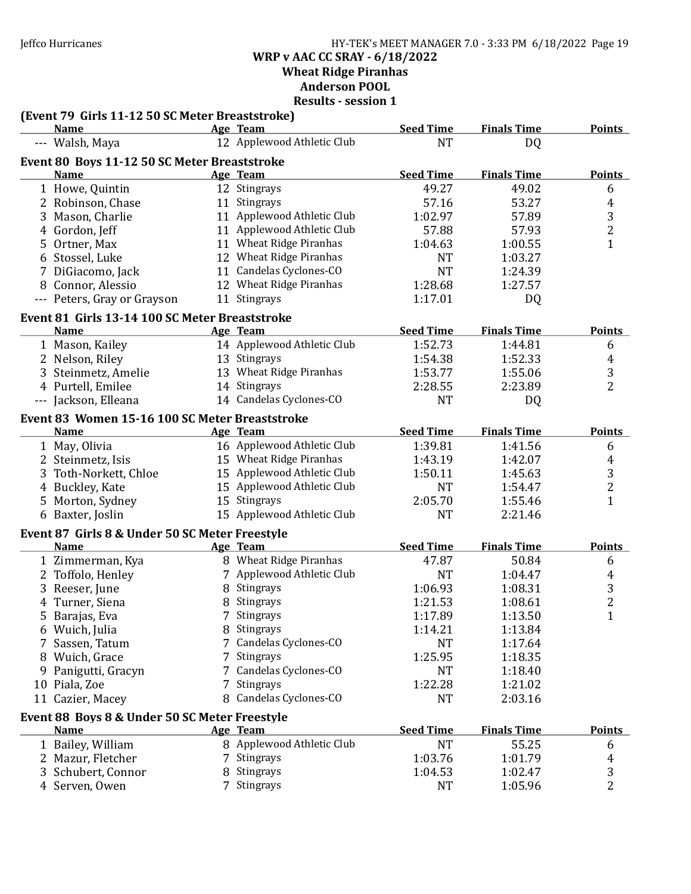Jeffco Hurricanes HY-TEK's MEET MANAGER 7.0 - 3:33 PM 6/18/2022 Page 19 WRP v AAC CC SRAY - 6/18/2022 Wheat Ridge Piranhas Anderson POOL

| (Event 79 Girls 11-12 50 SC Meter Breaststroke)             |   |                            |                  |                    |                |
|-------------------------------------------------------------|---|----------------------------|------------------|--------------------|----------------|
| <b>Name</b>                                                 |   | Age Team                   | <b>Seed Time</b> | <b>Finals Time</b> | <b>Points</b>  |
| --- Walsh, Maya                                             |   | 12 Applewood Athletic Club | <b>NT</b>        | DQ                 |                |
| Event 80 Boys 11-12 50 SC Meter Breaststroke<br><b>Name</b> |   |                            | <b>Seed Time</b> | <b>Finals Time</b> | <b>Points</b>  |
|                                                             |   | Age Team<br>12 Stingrays   |                  | 49.02              |                |
| 1 Howe, Quintin                                             |   |                            | 49.27            |                    | 6              |
| 2 Robinson, Chase                                           |   | 11 Stingrays               | 57.16            | 53.27              | 4              |
| 3 Mason, Charlie                                            |   | 11 Applewood Athletic Club | 1:02.97          | 57.89              | 3              |
| 4 Gordon, Jeff                                              |   | 11 Applewood Athletic Club | 57.88            | 57.93              | $\overline{c}$ |
| 5 Ortner, Max                                               |   | 11 Wheat Ridge Piranhas    | 1:04.63          | 1:00.55            | $\mathbf{1}$   |
| 6 Stossel, Luke                                             |   | 12 Wheat Ridge Piranhas    | <b>NT</b>        | 1:03.27            |                |
| 7 DiGiacomo, Jack                                           |   | 11 Candelas Cyclones-CO    | <b>NT</b>        | 1:24.39            |                |
| 8 Connor, Alessio                                           |   | 12 Wheat Ridge Piranhas    | 1:28.68          | 1:27.57            |                |
| --- Peters, Gray or Grayson                                 |   | 11 Stingrays               | 1:17.01          | DQ                 |                |
| Event 81 Girls 13-14 100 SC Meter Breaststroke              |   |                            |                  |                    |                |
| Name                                                        |   | Age Team                   | <b>Seed Time</b> | <b>Finals Time</b> | <b>Points</b>  |
| 1 Mason, Kailey                                             |   | 14 Applewood Athletic Club | 1:52.73          | 1:44.81            | 6              |
| 2 Nelson, Riley                                             |   | 13 Stingrays               | 1:54.38          | 1:52.33            | 4              |
| 3 Steinmetz, Amelie                                         |   | 13 Wheat Ridge Piranhas    | 1:53.77          | 1:55.06            | 3              |
| 4 Purtell, Emilee                                           |   | 14 Stingrays               | 2:28.55          | 2:23.89            | $\overline{2}$ |
| --- Jackson, Elleana                                        |   | 14 Candelas Cyclones-CO    | <b>NT</b>        | DQ                 |                |
| Event 83 Women 15-16 100 SC Meter Breaststroke              |   |                            |                  |                    |                |
| <b>Name</b>                                                 |   | Age Team                   | <b>Seed Time</b> | <b>Finals Time</b> | <b>Points</b>  |
| 1 May, Olivia                                               |   | 16 Applewood Athletic Club | 1:39.81          | 1:41.56            | 6              |
| 2 Steinmetz, Isis                                           |   | 15 Wheat Ridge Piranhas    | 1:43.19          | 1:42.07            | 4              |
| 3 Toth-Norkett, Chloe                                       |   | 15 Applewood Athletic Club | 1:50.11          | 1:45.63            | 3              |
| 4 Buckley, Kate                                             |   | 15 Applewood Athletic Club | <b>NT</b>        | 1:54.47            | $\overline{c}$ |
| 5 Morton, Sydney                                            |   | 15 Stingrays               | 2:05.70          | 1:55.46            | $\mathbf{1}$   |
| 6 Baxter, Joslin                                            |   | 15 Applewood Athletic Club | <b>NT</b>        | 2:21.46            |                |
| Event 87 Girls 8 & Under 50 SC Meter Freestyle              |   |                            |                  |                    |                |
| <b>Name</b>                                                 |   | Age Team                   | <b>Seed Time</b> | <b>Finals Time</b> | <b>Points</b>  |
| 1 Zimmerman, Kya                                            |   | 8 Wheat Ridge Piranhas     | 47.87            | 50.84              | 6              |
| 2 Toffolo, Henley                                           |   | 7 Applewood Athletic Club  | <b>NT</b>        | 1:04.47            | 4              |
| 3 Reeser, June                                              |   | 8 Stingrays                | 1:06.93          | 1:08.31            | 3              |
| 4 Turner, Siena                                             | 8 | Stingrays                  | 1:21.53          | 1:08.61            | $\overline{c}$ |
| 5 Barajas, Eva                                              |   | 7 Stingrays                | 1:17.89          | 1:13.50            | $\mathbf{1}$   |
|                                                             |   | 8 Stingrays                | 1:14.21          |                    |                |
| 6 Wuich, Julia                                              |   | 7 Candelas Cyclones-CO     |                  | 1:13.84            |                |
| 7 Sassen, Tatum                                             | 7 | Stingrays                  | <b>NT</b>        | 1:17.64            |                |
| 8 Wuich, Grace                                              |   |                            | 1:25.95          | 1:18.35            |                |
| 9 Panigutti, Gracyn                                         |   | 7 Candelas Cyclones-CO     | <b>NT</b>        | 1:18.40            |                |
| 10 Piala, Zoe                                               | 7 | Stingrays                  | 1:22.28          | 1:21.02            |                |
| 11 Cazier, Macey                                            | 8 | Candelas Cyclones-CO       | <b>NT</b>        | 2:03.16            |                |
| Event 88 Boys 8 & Under 50 SC Meter Freestyle               |   |                            |                  |                    |                |
| <b>Name</b>                                                 |   | Age Team                   | <b>Seed Time</b> | <b>Finals Time</b> | <b>Points</b>  |
| 1 Bailey, William                                           |   | 8 Applewood Athletic Club  | <b>NT</b>        | 55.25              | 6              |
| 2 Mazur, Fletcher                                           |   | 7 Stingrays                | 1:03.76          | 1:01.79            | 4              |
| 3 Schubert, Connor                                          | 8 | Stingrays                  | 1:04.53          | 1:02.47            | 3              |
| 4 Serven, Owen                                              |   | 7 Stingrays                | <b>NT</b>        | 1:05.96            | 2              |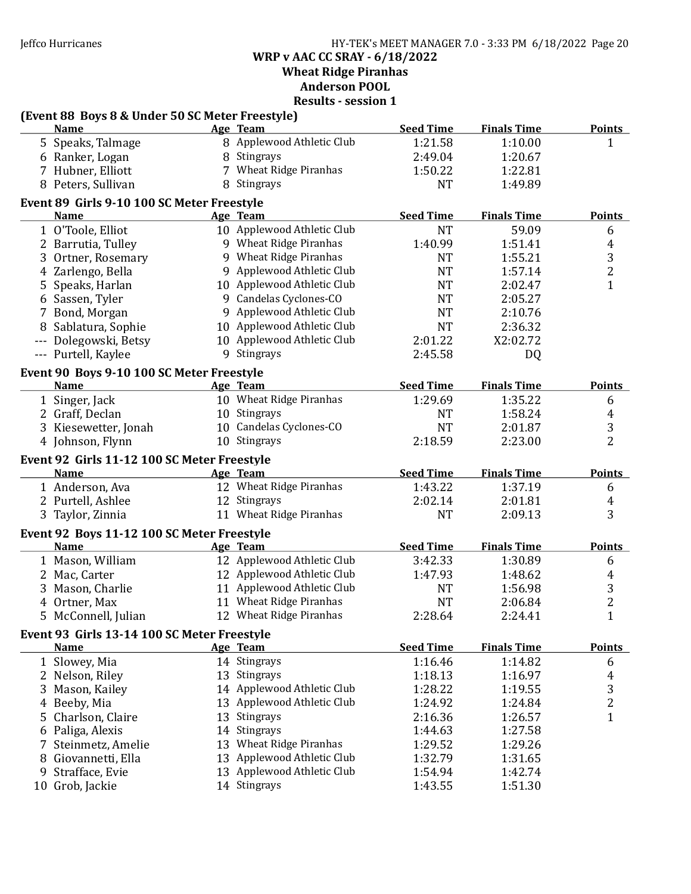Jeffco Hurricanes HY-TEK's MEET MANAGER 7.0 - 3:33 PM 6/18/2022 Page 20 WRP v AAC CC SRAY - 6/18/2022

Wheat Ridge Piranhas

Anderson POOL

|   | (Event 88 Boys 8 & Under 50 SC Meter Freestyle)            |                                            |                  |                    |                |
|---|------------------------------------------------------------|--------------------------------------------|------------------|--------------------|----------------|
|   | <b>Name</b>                                                | Age Team                                   | <b>Seed Time</b> | <b>Finals Time</b> | <b>Points</b>  |
|   | 5 Speaks, Talmage                                          | 8 Applewood Athletic Club                  | 1:21.58          | 1:10.00            | $\mathbf{1}$   |
|   | 6 Ranker, Logan                                            | 8 Stingrays                                | 2:49.04          | 1:20.67            |                |
|   | 7 Hubner, Elliott                                          | 7 Wheat Ridge Piranhas                     | 1:50.22          | 1:22.81            |                |
|   | 8 Peters, Sullivan                                         | 8 Stingrays                                | <b>NT</b>        | 1:49.89            |                |
|   | Event 89 Girls 9-10 100 SC Meter Freestyle                 |                                            |                  |                    |                |
|   | <b>Name</b>                                                | Age Team                                   | <b>Seed Time</b> | <b>Finals Time</b> | <b>Points</b>  |
|   | 1 O'Toole, Elliot                                          | 10 Applewood Athletic Club                 | <b>NT</b>        | 59.09              | 6              |
|   | 2 Barrutia, Tulley                                         | 9 Wheat Ridge Piranhas                     | 1:40.99          | 1:51.41            | $\overline{4}$ |
|   | 3 Ortner, Rosemary                                         | 9 Wheat Ridge Piranhas                     | <b>NT</b>        | 1:55.21            | 3              |
|   | 4 Zarlengo, Bella                                          | 9 Applewood Athletic Club                  | <b>NT</b>        | 1:57.14            | $\overline{2}$ |
|   | 5 Speaks, Harlan                                           | 10 Applewood Athletic Club                 | <b>NT</b>        | 2:02.47            | $\mathbf{1}$   |
|   | 6 Sassen, Tyler                                            | 9 Candelas Cyclones-CO                     | <b>NT</b>        | 2:05.27            |                |
|   | 7 Bond, Morgan                                             | 9 Applewood Athletic Club                  | <b>NT</b>        | 2:10.76            |                |
|   | 8 Sablatura, Sophie                                        | 10 Applewood Athletic Club                 | <b>NT</b>        | 2:36.32            |                |
|   | --- Dolegowski, Betsy                                      | 10 Applewood Athletic Club                 | 2:01.22          | X2:02.72           |                |
|   | --- Purtell, Kaylee                                        | 9 Stingrays                                | 2:45.58          | DQ                 |                |
|   | Event 90 Boys 9-10 100 SC Meter Freestyle                  |                                            |                  |                    |                |
|   | <b>Name</b>                                                | Age Team                                   | <b>Seed Time</b> | <b>Finals Time</b> | <b>Points</b>  |
|   | 1 Singer, Jack                                             | 10 Wheat Ridge Piranhas                    | 1:29.69          | 1:35.22            | 6              |
|   | 2 Graff, Declan                                            | 10 Stingrays                               | <b>NT</b>        | 1:58.24            | 4              |
|   | 3 Kiesewetter, Jonah                                       | 10 Candelas Cyclones-CO                    | <b>NT</b>        | 2:01.87            | 3              |
|   | 4 Johnson, Flynn                                           | 10 Stingrays                               | 2:18.59          | 2:23.00            | $\overline{2}$ |
|   | Event 92 Girls 11-12 100 SC Meter Freestyle                |                                            |                  |                    |                |
|   | <b>Name</b>                                                | Age Team                                   | <b>Seed Time</b> | <b>Finals Time</b> | <b>Points</b>  |
|   | 1 Anderson, Ava                                            | 12 Wheat Ridge Piranhas                    | 1:43.22          | 1:37.19            | 6              |
|   | 2 Purtell, Ashlee                                          | 12 Stingrays                               | 2:02.14          | 2:01.81            | $\overline{4}$ |
|   | 3 Taylor, Zinnia                                           | 11 Wheat Ridge Piranhas                    | <b>NT</b>        | 2:09.13            | 3              |
|   | Event 92 Boys 11-12 100 SC Meter Freestyle                 |                                            |                  |                    |                |
|   | <b>Name</b>                                                | Age Team                                   | <b>Seed Time</b> | <b>Finals Time</b> | <b>Points</b>  |
|   | 1 Mason, William                                           | 12 Applewood Athletic Club                 | 3:42.33          | 1:30.89            | 6              |
|   | 2 Mac, Carter                                              | 12 Applewood Athletic Club                 | 1:47.93          | 1:48.62            | 4              |
|   | 3 Mason, Charlie                                           | 11 Applewood Athletic Club                 | <b>NT</b>        | 1:56.98            | 3              |
|   | 4 Ortner, Max                                              | 11 Wheat Ridge Piranhas                    | <b>NT</b>        | 2:06.84            | $\overline{2}$ |
|   | 5 McConnell, Julian                                        | 12 Wheat Ridge Piranhas                    | 2:28.64          | 2:24.41            | $\mathbf{1}$   |
|   |                                                            |                                            |                  |                    |                |
|   | Event 93 Girls 13-14 100 SC Meter Freestyle<br><b>Name</b> | Age Team                                   | <b>Seed Time</b> | <b>Finals Time</b> | <b>Points</b>  |
|   |                                                            |                                            | 1:16.46          | 1:14.82            |                |
|   | 1 Slowey, Mia                                              | 14 Stingrays                               | 1:18.13          |                    | 6              |
|   | 2 Nelson, Riley                                            | 13 Stingrays<br>14 Applewood Athletic Club |                  | 1:16.97            | $\overline{4}$ |
|   | 3 Mason, Kailey                                            |                                            | 1:28.22          | 1:19.55            | 3              |
|   | 4 Beeby, Mia                                               | 13 Applewood Athletic Club                 | 1:24.92          | 1:24.84            | $\overline{c}$ |
|   | 5 Charlson, Claire                                         | 13 Stingrays                               | 2:16.36          | 1:26.57            | $\mathbf{1}$   |
|   | 6 Paliga, Alexis                                           | 14 Stingrays                               | 1:44.63          | 1:27.58            |                |
|   | 7 Steinmetz, Amelie                                        | 13 Wheat Ridge Piranhas                    | 1:29.52          | 1:29.26            |                |
|   | 8 Giovannetti, Ella                                        | 13 Applewood Athletic Club                 | 1:32.79          | 1:31.65            |                |
| 9 | Strafface, Evie                                            | 13 Applewood Athletic Club                 | 1:54.94          | 1:42.74            |                |
|   | 10 Grob, Jackie                                            | 14 Stingrays                               | 1:43.55          | 1:51.30            |                |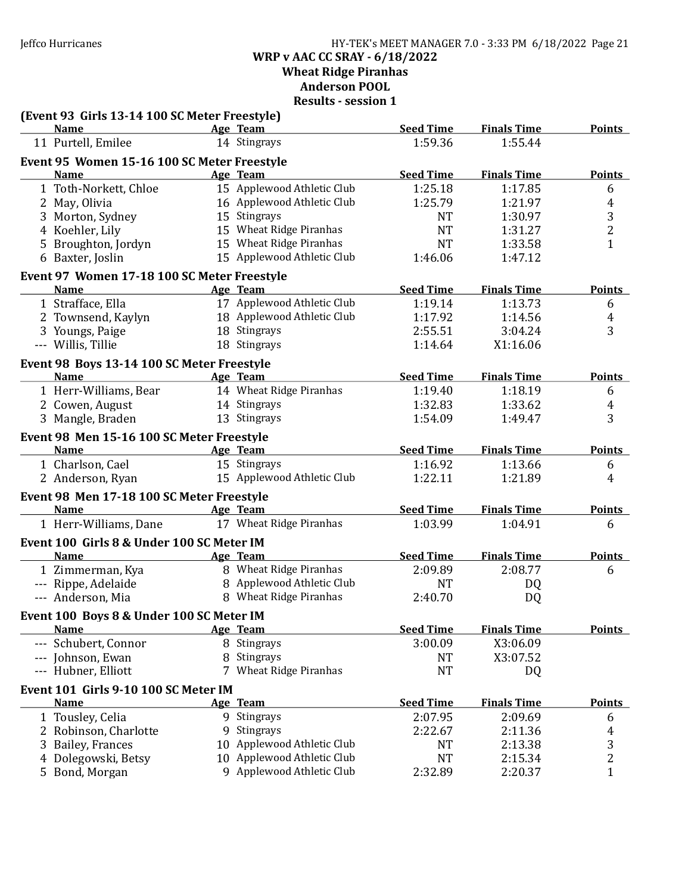Jeffco Hurricanes HY-TEK's MEET MANAGER 7.0 - 3:33 PM 6/18/2022 Page 21 WRP v AAC CC SRAY - 6/18/2022 Wheat Ridge Piranhas Anderson POOL

| (Event 93 Girls 13-14 100 SC Meter Freestyle) |    |                            |                  |                    |                |
|-----------------------------------------------|----|----------------------------|------------------|--------------------|----------------|
| <b>Name</b>                                   |    | Age Team                   | <b>Seed Time</b> | <b>Finals Time</b> | <b>Points</b>  |
| 11 Purtell, Emilee                            |    | 14 Stingrays               | 1:59.36          | 1:55.44            |                |
| Event 95 Women 15-16 100 SC Meter Freestyle   |    |                            |                  |                    |                |
| <b>Name</b>                                   |    | Age Team                   | <b>Seed Time</b> | <b>Finals Time</b> | <b>Points</b>  |
| 1 Toth-Norkett, Chloe                         |    | 15 Applewood Athletic Club | 1:25.18          | 1:17.85            | 6              |
| 2 May, Olivia                                 |    | 16 Applewood Athletic Club | 1:25.79          | 1:21.97            | 4              |
| 3 Morton, Sydney                              |    | 15 Stingrays               | <b>NT</b>        | 1:30.97            | 3              |
| 4 Koehler, Lily                               |    | 15 Wheat Ridge Piranhas    | <b>NT</b>        | 1:31.27            | $\overline{c}$ |
| 5 Broughton, Jordyn                           |    | 15 Wheat Ridge Piranhas    | <b>NT</b>        | 1:33.58            | $\mathbf{1}$   |
| 6 Baxter, Joslin                              |    | 15 Applewood Athletic Club | 1:46.06          | 1:47.12            |                |
| Event 97 Women 17-18 100 SC Meter Freestyle   |    |                            |                  |                    |                |
| <b>Name</b>                                   |    | Age Team                   | <b>Seed Time</b> | <b>Finals Time</b> | <b>Points</b>  |
| 1 Strafface, Ella                             |    | 17 Applewood Athletic Club | 1:19.14          | 1:13.73            | 6              |
| 2 Townsend, Kaylyn                            |    | 18 Applewood Athletic Club | 1:17.92          | 1:14.56            | 4              |
| 3 Youngs, Paige                               |    | 18 Stingrays               | 2:55.51          | 3:04.24            | 3              |
| --- Willis, Tillie                            |    | 18 Stingrays               | 1:14.64          | X1:16.06           |                |
| Event 98 Boys 13-14 100 SC Meter Freestyle    |    |                            |                  |                    |                |
| <b>Name</b>                                   |    | Age Team                   | <b>Seed Time</b> | <b>Finals Time</b> | <b>Points</b>  |
| 1 Herr-Williams, Bear                         |    | 14 Wheat Ridge Piranhas    | 1:19.40          | 1:18.19            | 6              |
| 2 Cowen, August                               |    | 14 Stingrays               | 1:32.83          | 1:33.62            | 4              |
| 3 Mangle, Braden                              |    | 13 Stingrays               | 1:54.09          | 1:49.47            | 3              |
| Event 98 Men 15-16 100 SC Meter Freestyle     |    |                            |                  |                    |                |
| <b>Name</b>                                   |    | Age Team                   | <b>Seed Time</b> | <b>Finals Time</b> | <b>Points</b>  |
| 1 Charlson, Cael                              |    | 15 Stingrays               | 1:16.92          | 1:13.66            |                |
| 2 Anderson, Ryan                              |    | 15 Applewood Athletic Club | 1:22.11          | 1:21.89            | 6<br>4         |
|                                               |    |                            |                  |                    |                |
| Event 98 Men 17-18 100 SC Meter Freestyle     |    |                            |                  |                    |                |
| <b>Name</b>                                   |    | Age Team                   | <b>Seed Time</b> | <b>Finals Time</b> | <b>Points</b>  |
| 1 Herr-Williams, Dane                         |    | 17 Wheat Ridge Piranhas    | 1:03.99          | 1:04.91            | 6              |
| Event 100 Girls 8 & Under 100 SC Meter IM     |    |                            |                  |                    |                |
| <b>Name</b>                                   |    | Age Team                   | <b>Seed Time</b> | <b>Finals Time</b> | <b>Points</b>  |
| 1 Zimmerman, Kya                              |    | 8 Wheat Ridge Piranhas     | 2:09.89          | 2:08.77            | 6              |
| --- Rippe, Adelaide                           |    | 8 Applewood Athletic Club  | <b>NT</b>        | DQ                 |                |
| --- Anderson, Mia                             |    | 8 Wheat Ridge Piranhas     | 2:40.70          | DQ                 |                |
| Event 100 Boys 8 & Under 100 SC Meter IM      |    |                            |                  |                    |                |
| <b>Name</b>                                   |    | Age Team                   | <b>Seed Time</b> | <b>Finals Time</b> | <b>Points</b>  |
| --- Schubert, Connor                          |    | 8 Stingrays                | 3:00.09          | X3:06.09           |                |
| --- Johnson, Ewan                             | 8  | Stingrays                  | <b>NT</b>        | X3:07.52           |                |
| --- Hubner, Elliott                           |    | 7 Wheat Ridge Piranhas     | <b>NT</b>        | DQ                 |                |
| Event 101 Girls 9-10 100 SC Meter IM          |    |                            |                  |                    |                |
| <b>Name</b>                                   |    | Age Team                   | <b>Seed Time</b> | <b>Finals Time</b> | <b>Points</b>  |
| 1 Tousley, Celia                              |    | 9 Stingrays                | 2:07.95          | 2:09.69            | 6              |
| 2 Robinson, Charlotte                         | 9  | Stingrays                  | 2:22.67          | 2:11.36            | 4              |
| 3 Bailey, Frances                             | 10 | Applewood Athletic Club    | <b>NT</b>        | 2:13.38            | 3              |
| 4 Dolegowski, Betsy                           | 10 | Applewood Athletic Club    | <b>NT</b>        | 2:15.34            | $\overline{c}$ |
| 5 Bond, Morgan                                |    | 9 Applewood Athletic Club  | 2:32.89          | 2:20.37            | $\mathbf{1}$   |
|                                               |    |                            |                  |                    |                |